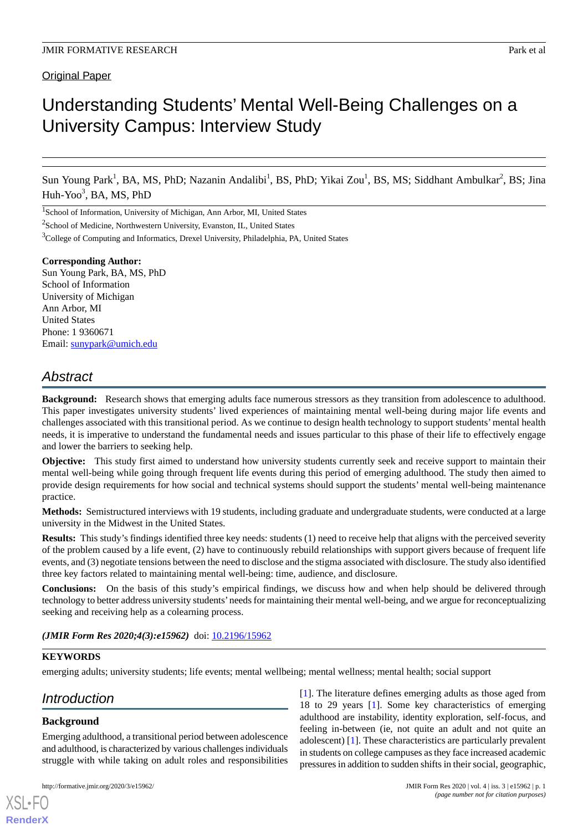# Understanding Students' Mental Well-Being Challenges on a University Campus: Interview Study

Sun Young Park<sup>1</sup>, BA, MS, PhD; Nazanin Andalibi<sup>1</sup>, BS, PhD; Yikai Zou<sup>1</sup>, BS, MS; Siddhant Ambulkar<sup>2</sup>, BS; Jina Huh-Yoo<sup>3</sup>, BA, MS, PhD

<sup>1</sup>School of Information, University of Michigan, Ann Arbor, MI, United States

<sup>2</sup>School of Medicine, Northwestern University, Evanston, IL, United States

<sup>3</sup>College of Computing and Informatics, Drexel University, Philadelphia, PA, United States

**Corresponding Author:** Sun Young Park, BA, MS, PhD School of Information University of Michigan Ann Arbor, MI United States Phone: 1 9360671 Email: [sunypark@umich.edu](mailto:sunypark@umich.edu)

## *Abstract*

**Background:** Research shows that emerging adults face numerous stressors as they transition from adolescence to adulthood. This paper investigates university students' lived experiences of maintaining mental well-being during major life events and challenges associated with this transitional period. As we continue to design health technology to support students'mental health needs, it is imperative to understand the fundamental needs and issues particular to this phase of their life to effectively engage and lower the barriers to seeking help.

**Objective:** This study first aimed to understand how university students currently seek and receive support to maintain their mental well-being while going through frequent life events during this period of emerging adulthood. The study then aimed to provide design requirements for how social and technical systems should support the students' mental well-being maintenance practice.

**Methods:** Semistructured interviews with 19 students, including graduate and undergraduate students, were conducted at a large university in the Midwest in the United States.

**Results:** This study's findings identified three key needs: students (1) need to receive help that aligns with the perceived severity of the problem caused by a life event, (2) have to continuously rebuild relationships with support givers because of frequent life events, and (3) negotiate tensions between the need to disclose and the stigma associated with disclosure. The study also identified three key factors related to maintaining mental well-being: time, audience, and disclosure.

**Conclusions:** On the basis of this study's empirical findings, we discuss how and when help should be delivered through technology to better address university students'needs for maintaining their mental well-being, and we argue for reconceptualizing seeking and receiving help as a colearning process.

*(JMIR Form Res 2020;4(3):e15962)* doi:  $10.2196/15962$ 

## **KEYWORDS**

emerging adults; university students; life events; mental wellbeing; mental wellness; mental health; social support

## *Introduction*

## **Background**

[XSL](http://www.w3.org/Style/XSL)•FO **[RenderX](http://www.renderx.com/)**

Emerging adulthood, a transitional period between adolescence and adulthood, is characterized by various challenges individuals struggle with while taking on adult roles and responsibilities

[[1\]](#page-12-0). The literature defines emerging adults as those aged from 18 to 29 years [\[1](#page-12-0)]. Some key characteristics of emerging adulthood are instability, identity exploration, self-focus, and feeling in-between (ie, not quite an adult and not quite an adolescent) [[1\]](#page-12-0). These characteristics are particularly prevalent in students on college campuses as they face increased academic pressures in addition to sudden shifts in their social, geographic,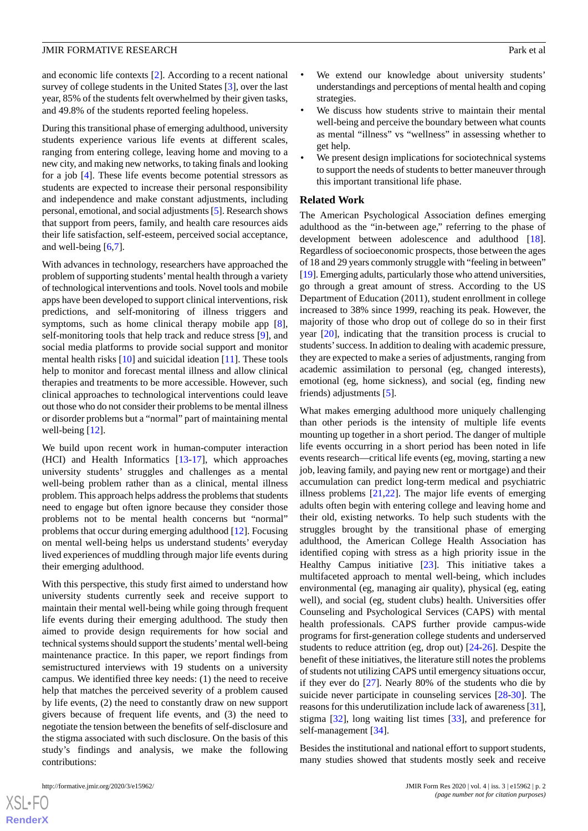and economic life contexts [\[2](#page-12-1)]. According to a recent national survey of college students in the United States [[3\]](#page-12-2), over the last year, 85% of the students felt overwhelmed by their given tasks, and 49.8% of the students reported feeling hopeless.

During this transitional phase of emerging adulthood, university students experience various life events at different scales, ranging from entering college, leaving home and moving to a new city, and making new networks, to taking finals and looking for a job [\[4](#page-12-3)]. These life events become potential stressors as students are expected to increase their personal responsibility and independence and make constant adjustments, including personal, emotional, and social adjustments [[5\]](#page-12-4). Research shows that support from peers, family, and health care resources aids their life satisfaction, self-esteem, perceived social acceptance, and well-being [\[6](#page-12-5),[7\]](#page-12-6).

With advances in technology, researchers have approached the problem of supporting students'mental health through a variety of technological interventions and tools. Novel tools and mobile apps have been developed to support clinical interventions, risk predictions, and self-monitoring of illness triggers and symptoms, such as home clinical therapy mobile app [[8\]](#page-12-7), self-monitoring tools that help track and reduce stress [[9\]](#page-12-8), and social media platforms to provide social support and monitor mental health risks [[10\]](#page-12-9) and suicidal ideation [[11\]](#page-12-10). These tools help to monitor and forecast mental illness and allow clinical therapies and treatments to be more accessible. However, such clinical approaches to technological interventions could leave out those who do not consider their problems to be mental illness or disorder problems but a "normal" part of maintaining mental well-being [\[12](#page-12-11)].

We build upon recent work in human-computer interaction (HCI) and Health Informatics [\[13](#page-12-12)[-17](#page-12-13)], which approaches university students' struggles and challenges as a mental well-being problem rather than as a clinical, mental illness problem. This approach helps address the problems that students need to engage but often ignore because they consider those problems not to be mental health concerns but "normal" problems that occur during emerging adulthood [\[12](#page-12-11)]. Focusing on mental well-being helps us understand students' everyday lived experiences of muddling through major life events during their emerging adulthood.

With this perspective, this study first aimed to understand how university students currently seek and receive support to maintain their mental well-being while going through frequent life events during their emerging adulthood. The study then aimed to provide design requirements for how social and technical systems should support the students'mental well-being maintenance practice. In this paper, we report findings from semistructured interviews with 19 students on a university campus. We identified three key needs: (1) the need to receive help that matches the perceived severity of a problem caused by life events, (2) the need to constantly draw on new support givers because of frequent life events, and (3) the need to negotiate the tension between the benefits of self-disclosure and the stigma associated with such disclosure. On the basis of this study's findings and analysis, we make the following contributions:

 $XS$  $\cdot$ FC **[RenderX](http://www.renderx.com/)**

- We extend our knowledge about university students' understandings and perceptions of mental health and coping strategies.
- We discuss how students strive to maintain their mental well-being and perceive the boundary between what counts as mental "illness" vs "wellness" in assessing whether to get help.
- We present design implications for sociotechnical systems to support the needs of students to better maneuver through this important transitional life phase.

#### **Related Work**

The American Psychological Association defines emerging adulthood as the "in-between age," referring to the phase of development between adolescence and adulthood [[18\]](#page-12-14). Regardless of socioeconomic prospects, those between the ages of 18 and 29 years commonly struggle with "feeling in between" [[19\]](#page-12-15). Emerging adults, particularly those who attend universities, go through a great amount of stress. According to the US Department of Education (2011), student enrollment in college increased to 38% since 1999, reaching its peak. However, the majority of those who drop out of college do so in their first year [\[20](#page-12-16)], indicating that the transition process is crucial to students'success. In addition to dealing with academic pressure, they are expected to make a series of adjustments, ranging from academic assimilation to personal (eg, changed interests), emotional (eg, home sickness), and social (eg, finding new friends) adjustments [[5\]](#page-12-4).

What makes emerging adulthood more uniquely challenging than other periods is the intensity of multiple life events mounting up together in a short period. The danger of multiple life events occurring in a short period has been noted in life events research—critical life events (eg, moving, starting a new job, leaving family, and paying new rent or mortgage) and their accumulation can predict long-term medical and psychiatric illness problems [[21,](#page-13-0)[22](#page-13-1)]. The major life events of emerging adults often begin with entering college and leaving home and their old, existing networks. To help such students with the struggles brought by the transitional phase of emerging adulthood, the American College Health Association has identified coping with stress as a high priority issue in the Healthy Campus initiative [\[23](#page-13-2)]. This initiative takes a multifaceted approach to mental well-being, which includes environmental (eg, managing air quality), physical (eg, eating well), and social (eg, student clubs) health. Universities offer Counseling and Psychological Services (CAPS) with mental health professionals. CAPS further provide campus-wide programs for first-generation college students and underserved students to reduce attrition (eg, drop out) [\[24](#page-13-3)[-26](#page-13-4)]. Despite the benefit of these initiatives, the literature still notes the problems of students not utilizing CAPS until emergency situations occur, if they ever do [[27\]](#page-13-5). Nearly 80% of the students who die by suicide never participate in counseling services [\[28](#page-13-6)-[30\]](#page-13-7). The reasons for this underutilization include lack of awareness [[31\]](#page-13-8), stigma [\[32](#page-13-9)], long waiting list times [\[33](#page-13-10)], and preference for self-management [\[34](#page-13-11)].

Besides the institutional and national effort to support students, many studies showed that students mostly seek and receive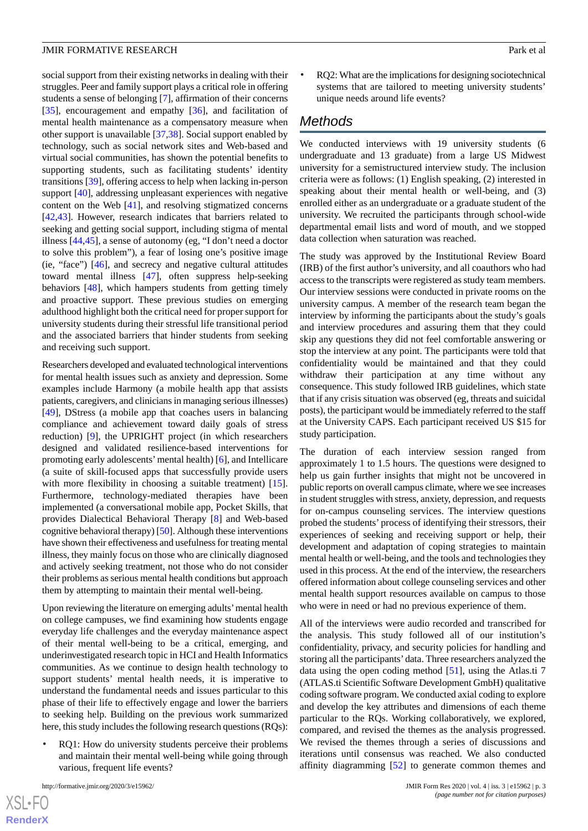social support from their existing networks in dealing with their struggles. Peer and family support plays a critical role in offering students a sense of belonging [[7\]](#page-12-6), affirmation of their concerns [[35\]](#page-13-12), encouragement and empathy [[36\]](#page-13-13), and facilitation of mental health maintenance as a compensatory measure when other support is unavailable [[37](#page-13-14)[,38](#page-13-15)]. Social support enabled by technology, such as social network sites and Web-based and virtual social communities, has shown the potential benefits to supporting students, such as facilitating students' identity transitions [[39\]](#page-13-16), offering access to help when lacking in-person support [[40\]](#page-13-17), addressing unpleasant experiences with negative content on the Web [\[41](#page-13-18)], and resolving stigmatized concerns [[42](#page-13-19)[,43](#page-13-20)]. However, research indicates that barriers related to seeking and getting social support, including stigma of mental illness [[44,](#page-13-21)[45](#page-13-22)], a sense of autonomy (eg, "I don't need a doctor to solve this problem"), a fear of losing one's positive image (ie, "face") [[46\]](#page-14-0), and secrecy and negative cultural attitudes toward mental illness [[47\]](#page-14-1), often suppress help-seeking behaviors [\[48](#page-14-2)], which hampers students from getting timely and proactive support. These previous studies on emerging adulthood highlight both the critical need for proper support for university students during their stressful life transitional period and the associated barriers that hinder students from seeking and receiving such support.

Researchers developed and evaluated technological interventions for mental health issues such as anxiety and depression. Some examples include Harmony (a mobile health app that assists patients, caregivers, and clinicians in managing serious illnesses) [[49\]](#page-14-3), DStress (a mobile app that coaches users in balancing compliance and achievement toward daily goals of stress reduction) [\[9](#page-12-8)], the UPRIGHT project (in which researchers designed and validated resilience-based interventions for promoting early adolescents'mental health) [[6\]](#page-12-5), and Intellicare (a suite of skill-focused apps that successfully provide users with more flexibility in choosing a suitable treatment) [[15\]](#page-12-17). Furthermore, technology-mediated therapies have been implemented (a conversational mobile app, Pocket Skills, that provides Dialectical Behavioral Therapy [[8\]](#page-12-7) and Web-based cognitive behavioral therapy) [[50\]](#page-14-4). Although these interventions have shown their effectiveness and usefulness for treating mental illness, they mainly focus on those who are clinically diagnosed and actively seeking treatment, not those who do not consider their problems as serious mental health conditions but approach them by attempting to maintain their mental well-being.

Upon reviewing the literature on emerging adults'mental health on college campuses, we find examining how students engage everyday life challenges and the everyday maintenance aspect of their mental well-being to be a critical, emerging, and underinvestigated research topic in HCI and Health Informatics communities. As we continue to design health technology to support students' mental health needs, it is imperative to understand the fundamental needs and issues particular to this phase of their life to effectively engage and lower the barriers to seeking help. Building on the previous work summarized here, this study includes the following research questions (RQs):

RQ1: How do university students perceive their problems and maintain their mental well-being while going through various, frequent life events?

[XSL](http://www.w3.org/Style/XSL)•FO **[RenderX](http://www.renderx.com/)** • RQ2: What are the implications for designing sociotechnical systems that are tailored to meeting university students' unique needs around life events?

## *Methods*

We conducted interviews with 19 university students (6 undergraduate and 13 graduate) from a large US Midwest university for a semistructured interview study. The inclusion criteria were as follows: (1) English speaking, (2) interested in speaking about their mental health or well-being, and (3) enrolled either as an undergraduate or a graduate student of the university. We recruited the participants through school-wide departmental email lists and word of mouth, and we stopped data collection when saturation was reached.

The study was approved by the Institutional Review Board (IRB) of the first author's university, and all coauthors who had access to the transcripts were registered as study team members. Our interview sessions were conducted in private rooms on the university campus. A member of the research team began the interview by informing the participants about the study's goals and interview procedures and assuring them that they could skip any questions they did not feel comfortable answering or stop the interview at any point. The participants were told that confidentiality would be maintained and that they could withdraw their participation at any time without any consequence. This study followed IRB guidelines, which state that if any crisis situation was observed (eg, threats and suicidal posts), the participant would be immediately referred to the staff at the University CAPS. Each participant received US \$15 for study participation.

The duration of each interview session ranged from approximately 1 to 1.5 hours. The questions were designed to help us gain further insights that might not be uncovered in public reports on overall campus climate, where we see increases in student struggles with stress, anxiety, depression, and requests for on-campus counseling services. The interview questions probed the students' process of identifying their stressors, their experiences of seeking and receiving support or help, their development and adaptation of coping strategies to maintain mental health or well-being, and the tools and technologies they used in this process. At the end of the interview, the researchers offered information about college counseling services and other mental health support resources available on campus to those who were in need or had no previous experience of them.

All of the interviews were audio recorded and transcribed for the analysis. This study followed all of our institution's confidentiality, privacy, and security policies for handling and storing all the participants'data. Three researchers analyzed the data using the open coding method [[51\]](#page-14-5), using the Atlas.ti 7 (ATLAS.ti Scientific Software Development GmbH) qualitative coding software program. We conducted axial coding to explore and develop the key attributes and dimensions of each theme particular to the RQs. Working collaboratively, we explored, compared, and revised the themes as the analysis progressed. We revised the themes through a series of discussions and iterations until consensus was reached. We also conducted affinity diagramming [\[52](#page-14-6)] to generate common themes and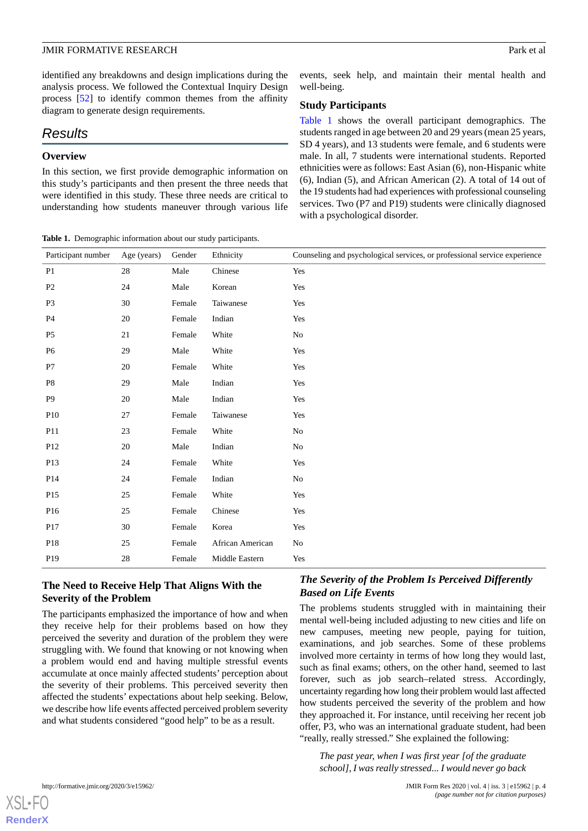identified any breakdowns and design implications during the analysis process. We followed the Contextual Inquiry Design process [[52\]](#page-14-6) to identify common themes from the affinity diagram to generate design requirements.

## *Results*

## **Overview**

In this section, we first provide demographic information on this study's participants and then present the three needs that were identified in this study. These three needs are critical to understanding how students maneuver through various life

<span id="page-3-0"></span>**Table 1.** Demographic information about our study participants.

events, seek help, and maintain their mental health and well-being.

#### **Study Participants**

[Table 1](#page-3-0) shows the overall participant demographics. The students ranged in age between 20 and 29 years (mean 25 years, SD 4 years), and 13 students were female, and 6 students were male. In all, 7 students were international students. Reported ethnicities were as follows: East Asian (6), non-Hispanic white (6), Indian (5), and African American (2). A total of 14 out of the 19 students had had experiences with professional counseling services. Two (P7 and P19) students were clinically diagnosed with a psychological disorder.

|        |             | Ethnicity                                                                                                                                                                                | Counseling and psychological services, or professional service experience                                                                                                                                     |
|--------|-------------|------------------------------------------------------------------------------------------------------------------------------------------------------------------------------------------|---------------------------------------------------------------------------------------------------------------------------------------------------------------------------------------------------------------|
| 28     |             |                                                                                                                                                                                          | Yes                                                                                                                                                                                                           |
|        |             |                                                                                                                                                                                          | Yes                                                                                                                                                                                                           |
| 30     |             |                                                                                                                                                                                          | Yes                                                                                                                                                                                                           |
| 20     |             |                                                                                                                                                                                          | Yes                                                                                                                                                                                                           |
|        |             |                                                                                                                                                                                          | No                                                                                                                                                                                                            |
|        |             |                                                                                                                                                                                          | Yes                                                                                                                                                                                                           |
| 20     |             |                                                                                                                                                                                          | Yes                                                                                                                                                                                                           |
|        |             |                                                                                                                                                                                          | Yes                                                                                                                                                                                                           |
| 20     |             |                                                                                                                                                                                          | Yes                                                                                                                                                                                                           |
|        |             |                                                                                                                                                                                          | Yes                                                                                                                                                                                                           |
|        |             |                                                                                                                                                                                          | $\rm No$                                                                                                                                                                                                      |
| $20\,$ |             |                                                                                                                                                                                          | No                                                                                                                                                                                                            |
|        |             |                                                                                                                                                                                          | Yes                                                                                                                                                                                                           |
|        |             |                                                                                                                                                                                          | No                                                                                                                                                                                                            |
|        |             |                                                                                                                                                                                          | Yes                                                                                                                                                                                                           |
|        |             |                                                                                                                                                                                          | Yes                                                                                                                                                                                                           |
| 30     |             |                                                                                                                                                                                          | Yes                                                                                                                                                                                                           |
|        |             |                                                                                                                                                                                          | No                                                                                                                                                                                                            |
|        |             |                                                                                                                                                                                          | Yes                                                                                                                                                                                                           |
|        | Age (years) | Gender<br>Male<br>Male<br>Female<br>Female<br>Female<br>Male<br>Female<br>Male<br>Male<br>Female<br>Female<br>Male<br>Female<br>Female<br>Female<br>Female<br>Female<br>Female<br>Female | Chinese<br>Korean<br>Taiwanese<br>Indian<br>White<br>White<br>White<br>Indian<br>Indian<br>Taiwanese<br>White<br>Indian<br>White<br>Indian<br>White<br>Chinese<br>Korea<br>African American<br>Middle Eastern |

## **The Need to Receive Help That Aligns With the Severity of the Problem**

The participants emphasized the importance of how and when they receive help for their problems based on how they perceived the severity and duration of the problem they were struggling with. We found that knowing or not knowing when a problem would end and having multiple stressful events accumulate at once mainly affected students' perception about the severity of their problems. This perceived severity then affected the students' expectations about help seeking. Below, we describe how life events affected perceived problem severity and what students considered "good help" to be as a result.

## *The Severity of the Problem Is Perceived Differently Based on Life Events*

The problems students struggled with in maintaining their mental well-being included adjusting to new cities and life on new campuses, meeting new people, paying for tuition, examinations, and job searches. Some of these problems involved more certainty in terms of how long they would last, such as final exams; others, on the other hand, seemed to last forever, such as job search–related stress. Accordingly, uncertainty regarding how long their problem would last affected how students perceived the severity of the problem and how they approached it. For instance, until receiving her recent job offer, P3, who was an international graduate student, had been "really, really stressed." She explained the following:

*The past year, when I was first year [of the graduate school], I was really stressed... I would never go back*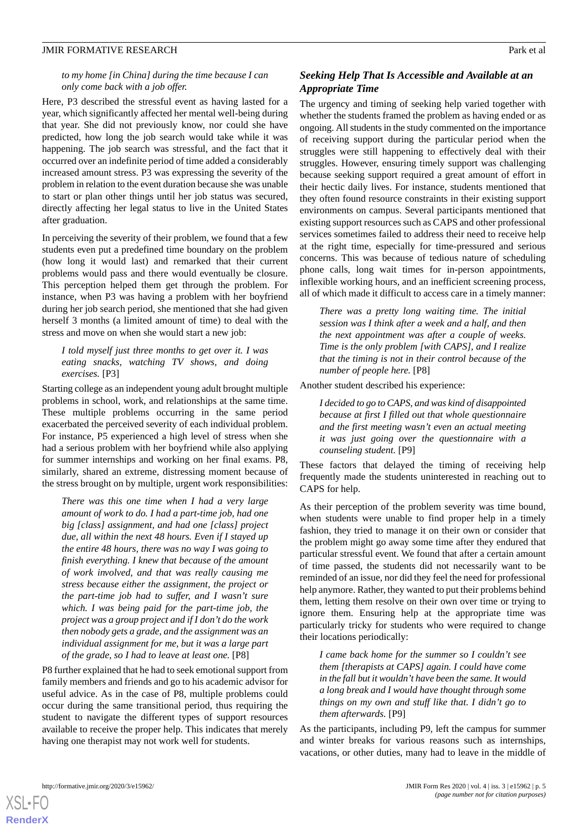#### *to my home [in China] during the time because I can only come back with a job offer.*

Here, P3 described the stressful event as having lasted for a year, which significantly affected her mental well-being during that year. She did not previously know, nor could she have predicted, how long the job search would take while it was happening. The job search was stressful, and the fact that it occurred over an indefinite period of time added a considerably increased amount stress. P3 was expressing the severity of the problem in relation to the event duration because she was unable to start or plan other things until her job status was secured, directly affecting her legal status to live in the United States after graduation.

In perceiving the severity of their problem, we found that a few students even put a predefined time boundary on the problem (how long it would last) and remarked that their current problems would pass and there would eventually be closure. This perception helped them get through the problem. For instance, when P3 was having a problem with her boyfriend during her job search period, she mentioned that she had given herself 3 months (a limited amount of time) to deal with the stress and move on when she would start a new job:

#### *I told myself just three months to get over it. I was eating snacks, watching TV shows, and doing exercises.* [P3]

Starting college as an independent young adult brought multiple problems in school, work, and relationships at the same time. These multiple problems occurring in the same period exacerbated the perceived severity of each individual problem. For instance, P5 experienced a high level of stress when she had a serious problem with her boyfriend while also applying for summer internships and working on her final exams. P8, similarly, shared an extreme, distressing moment because of the stress brought on by multiple, urgent work responsibilities:

*There was this one time when I had a very large amount of work to do. I had a part-time job, had one big [class] assignment, and had one [class] project due, all within the next 48 hours. Even if I stayed up the entire 48 hours, there was no way I was going to finish everything. I knew that because of the amount of work involved, and that was really causing me stress because either the assignment, the project or the part-time job had to suffer, and I wasn't sure which. I was being paid for the part-time job, the project was a group project and if I don't do the work then nobody gets a grade, and the assignment was an individual assignment for me, but it was a large part of the grade, so I had to leave at least one.* [P8]

P8 further explained that he had to seek emotional support from family members and friends and go to his academic advisor for useful advice. As in the case of P8, multiple problems could occur during the same transitional period, thus requiring the student to navigate the different types of support resources available to receive the proper help. This indicates that merely having one therapist may not work well for students.

## *Seeking Help That Is Accessible and Available at an Appropriate Time*

The urgency and timing of seeking help varied together with whether the students framed the problem as having ended or as ongoing. All students in the study commented on the importance of receiving support during the particular period when the struggles were still happening to effectively deal with their struggles. However, ensuring timely support was challenging because seeking support required a great amount of effort in their hectic daily lives. For instance, students mentioned that they often found resource constraints in their existing support environments on campus. Several participants mentioned that existing support resources such as CAPS and other professional services sometimes failed to address their need to receive help at the right time, especially for time-pressured and serious concerns. This was because of tedious nature of scheduling phone calls, long wait times for in-person appointments, inflexible working hours, and an inefficient screening process, all of which made it difficult to access care in a timely manner:

*There was a pretty long waiting time. The initial session was I think after a week and a half, and then the next appointment was after a couple of weeks. Time is the only problem [with CAPS], and I realize that the timing is not in their control because of the number of people here.* [P8]

Another student described his experience:

*I decided to go to CAPS, and was kind of disappointed because at first I filled out that whole questionnaire and the first meeting wasn't even an actual meeting it was just going over the questionnaire with a counseling student.* [P9]

These factors that delayed the timing of receiving help frequently made the students uninterested in reaching out to CAPS for help.

As their perception of the problem severity was time bound, when students were unable to find proper help in a timely fashion, they tried to manage it on their own or consider that the problem might go away some time after they endured that particular stressful event. We found that after a certain amount of time passed, the students did not necessarily want to be reminded of an issue, nor did they feel the need for professional help anymore. Rather, they wanted to put their problems behind them, letting them resolve on their own over time or trying to ignore them. Ensuring help at the appropriate time was particularly tricky for students who were required to change their locations periodically:

*I came back home for the summer so I couldn't see them [therapists at CAPS] again. I could have come in the fall but it wouldn't have been the same. It would a long break and I would have thought through some things on my own and stuff like that. I didn't go to them afterwards.* [P9]

As the participants, including P9, left the campus for summer and winter breaks for various reasons such as internships, vacations, or other duties, many had to leave in the middle of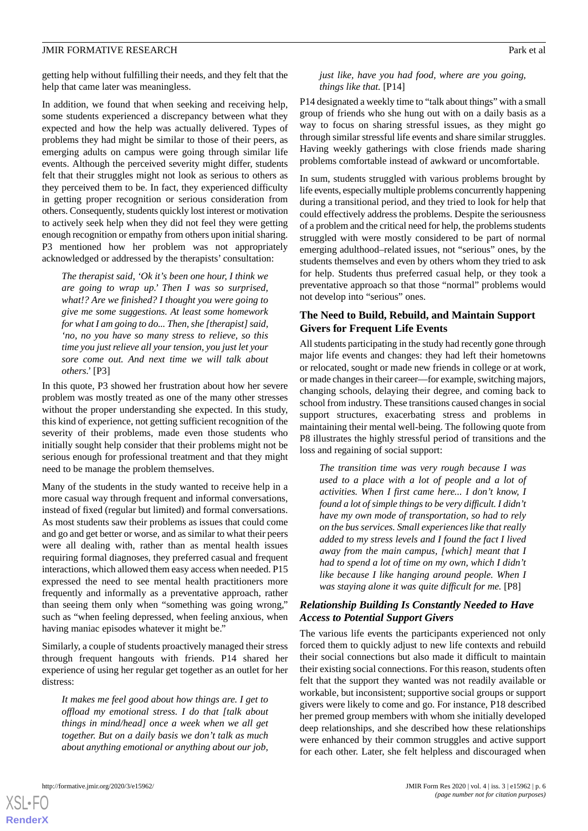getting help without fulfilling their needs, and they felt that the help that came later was meaningless.

In addition, we found that when seeking and receiving help, some students experienced a discrepancy between what they expected and how the help was actually delivered. Types of problems they had might be similar to those of their peers, as emerging adults on campus were going through similar life events. Although the perceived severity might differ, students felt that their struggles might not look as serious to others as they perceived them to be. In fact, they experienced difficulty in getting proper recognition or serious consideration from others. Consequently, students quickly lost interest or motivation to actively seek help when they did not feel they were getting enough recognition or empathy from others upon initial sharing. P3 mentioned how her problem was not appropriately acknowledged or addressed by the therapists' consultation:

*The therapist said, 'Ok it's been one hour, I think we are going to wrap up.' Then I was so surprised, what!? Are we finished? I thought you were going to give me some suggestions. At least some homework for what I am going to do... Then, she [therapist] said, 'no, no you have so many stress to relieve, so this time you just relieve all your tension, you just let your sore come out. And next time we will talk about others.'* [P3]

In this quote, P3 showed her frustration about how her severe problem was mostly treated as one of the many other stresses without the proper understanding she expected. In this study, this kind of experience, not getting sufficient recognition of the severity of their problems, made even those students who initially sought help consider that their problems might not be serious enough for professional treatment and that they might need to be manage the problem themselves.

Many of the students in the study wanted to receive help in a more casual way through frequent and informal conversations, instead of fixed (regular but limited) and formal conversations. As most students saw their problems as issues that could come and go and get better or worse, and as similar to what their peers were all dealing with, rather than as mental health issues requiring formal diagnoses, they preferred casual and frequent interactions, which allowed them easy access when needed. P15 expressed the need to see mental health practitioners more frequently and informally as a preventative approach, rather than seeing them only when "something was going wrong," such as "when feeling depressed, when feeling anxious, when having maniac episodes whatever it might be."

Similarly, a couple of students proactively managed their stress through frequent hangouts with friends. P14 shared her experience of using her regular get together as an outlet for her distress:

*It makes me feel good about how things are. I get to offload my emotional stress. I do that [talk about things in mind/head] once a week when we all get together. But on a daily basis we don't talk as much about anything emotional or anything about our job,*

#### *just like, have you had food, where are you going, things like that.* [P14]

P14 designated a weekly time to "talk about things" with a small group of friends who she hung out with on a daily basis as a way to focus on sharing stressful issues, as they might go through similar stressful life events and share similar struggles. Having weekly gatherings with close friends made sharing problems comfortable instead of awkward or uncomfortable.

In sum, students struggled with various problems brought by life events, especially multiple problems concurrently happening during a transitional period, and they tried to look for help that could effectively address the problems. Despite the seriousness of a problem and the critical need for help, the problems students struggled with were mostly considered to be part of normal emerging adulthood–related issues, not "serious" ones, by the students themselves and even by others whom they tried to ask for help. Students thus preferred casual help, or they took a preventative approach so that those "normal" problems would not develop into "serious" ones.

## **The Need to Build, Rebuild, and Maintain Support Givers for Frequent Life Events**

All students participating in the study had recently gone through major life events and changes: they had left their hometowns or relocated, sought or made new friends in college or at work, or made changes in their career—for example, switching majors, changing schools, delaying their degree, and coming back to school from industry. These transitions caused changes in social support structures, exacerbating stress and problems in maintaining their mental well-being. The following quote from P8 illustrates the highly stressful period of transitions and the loss and regaining of social support:

*The transition time was very rough because I was used to a place with a lot of people and a lot of activities. When I first came here... I don't know, I found a lot of simple things to be very difficult. I didn't have my own mode of transportation, so had to rely on the bus services. Small experiences like that really added to my stress levels and I found the fact I lived away from the main campus, [which] meant that I had to spend a lot of time on my own, which I didn't like because I like hanging around people. When I was staying alone it was quite difficult for me.* [P8]

## *Relationship Building Is Constantly Needed to Have Access to Potential Support Givers*

The various life events the participants experienced not only forced them to quickly adjust to new life contexts and rebuild their social connections but also made it difficult to maintain their existing social connections. For this reason, students often felt that the support they wanted was not readily available or workable, but inconsistent; supportive social groups or support givers were likely to come and go. For instance, P18 described her premed group members with whom she initially developed deep relationships, and she described how these relationships were enhanced by their common struggles and active support for each other. Later, she felt helpless and discouraged when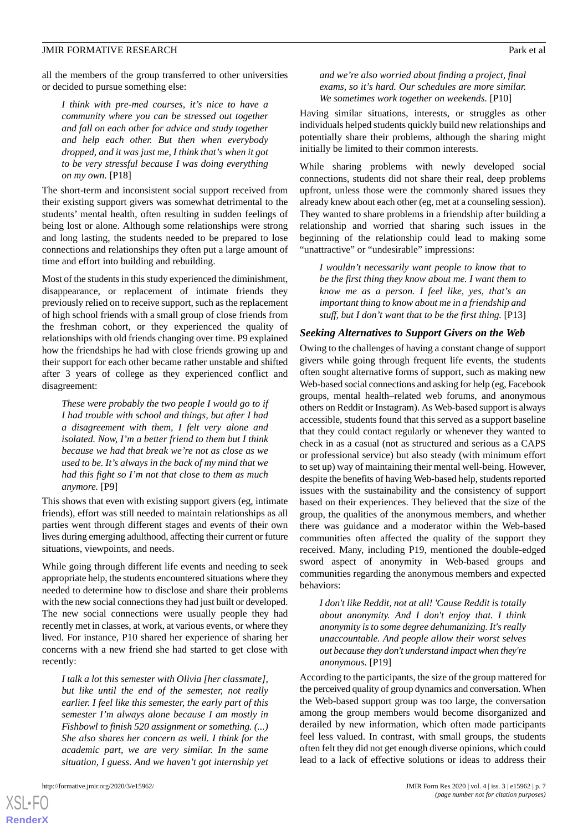all the members of the group transferred to other universities or decided to pursue something else:

*I think with pre-med courses, it's nice to have a community where you can be stressed out together and fall on each other for advice and study together and help each other. But then when everybody dropped, and it was just me, I think that's when it got to be very stressful because I was doing everything on my own.* [P18]

The short-term and inconsistent social support received from their existing support givers was somewhat detrimental to the students' mental health, often resulting in sudden feelings of being lost or alone. Although some relationships were strong and long lasting, the students needed to be prepared to lose connections and relationships they often put a large amount of time and effort into building and rebuilding.

Most of the students in this study experienced the diminishment, disappearance, or replacement of intimate friends they previously relied on to receive support, such as the replacement of high school friends with a small group of close friends from the freshman cohort, or they experienced the quality of relationships with old friends changing over time. P9 explained how the friendships he had with close friends growing up and their support for each other became rather unstable and shifted after 3 years of college as they experienced conflict and disagreement:

*These were probably the two people I would go to if I had trouble with school and things, but after I had a disagreement with them, I felt very alone and isolated. Now, I'm a better friend to them but I think because we had that break we're not as close as we used to be. It's always in the back of my mind that we had this fight so I'm not that close to them as much anymore.* [P9]

This shows that even with existing support givers (eg, intimate friends), effort was still needed to maintain relationships as all parties went through different stages and events of their own lives during emerging adulthood, affecting their current or future situations, viewpoints, and needs.

While going through different life events and needing to seek appropriate help, the students encountered situations where they needed to determine how to disclose and share their problems with the new social connections they had just built or developed. The new social connections were usually people they had recently met in classes, at work, at various events, or where they lived. For instance, P10 shared her experience of sharing her concerns with a new friend she had started to get close with recently:

*I talk a lot this semester with Olivia [her classmate], but like until the end of the semester, not really earlier. I feel like this semester, the early part of this semester I'm always alone because I am mostly in Fishbowl to finish 520 assignment or something. (...) She also shares her concern as well. I think for the academic part, we are very similar. In the same situation, I guess. And we haven't got internship yet*

*and we're also worried about finding a project, final exams, so it's hard. Our schedules are more similar. We sometimes work together on weekends.* [P10]

Having similar situations, interests, or struggles as other individuals helped students quickly build new relationships and potentially share their problems, although the sharing might initially be limited to their common interests.

While sharing problems with newly developed social connections, students did not share their real, deep problems upfront, unless those were the commonly shared issues they already knew about each other (eg, met at a counseling session). They wanted to share problems in a friendship after building a relationship and worried that sharing such issues in the beginning of the relationship could lead to making some "unattractive" or "undesirable" impressions:

*I wouldn't necessarily want people to know that to be the first thing they know about me. I want them to know me as a person. I feel like, yes, that's an important thing to know about me in a friendship and stuff, but I don't want that to be the first thing.* [P13]

#### *Seeking Alternatives to Support Givers on the Web*

Owing to the challenges of having a constant change of support givers while going through frequent life events, the students often sought alternative forms of support, such as making new Web-based social connections and asking for help (eg, Facebook groups, mental health–related web forums, and anonymous others on Reddit or Instagram). As Web-based support is always accessible, students found that this served as a support baseline that they could contact regularly or whenever they wanted to check in as a casual (not as structured and serious as a CAPS or professional service) but also steady (with minimum effort to set up) way of maintaining their mental well-being. However, despite the benefits of having Web-based help, students reported issues with the sustainability and the consistency of support based on their experiences. They believed that the size of the group, the qualities of the anonymous members, and whether there was guidance and a moderator within the Web-based communities often affected the quality of the support they received. Many, including P19, mentioned the double-edged sword aspect of anonymity in Web-based groups and communities regarding the anonymous members and expected behaviors:

*I don't like Reddit, not at all! 'Cause Reddit is totally about anonymity. And I don't enjoy that. I think anonymity is to some degree dehumanizing. It's really unaccountable. And people allow their worst selves out because they don't understand impact when they're anonymous.* [P19]

According to the participants, the size of the group mattered for the perceived quality of group dynamics and conversation. When the Web-based support group was too large, the conversation among the group members would become disorganized and derailed by new information, which often made participants feel less valued. In contrast, with small groups, the students often felt they did not get enough diverse opinions, which could lead to a lack of effective solutions or ideas to address their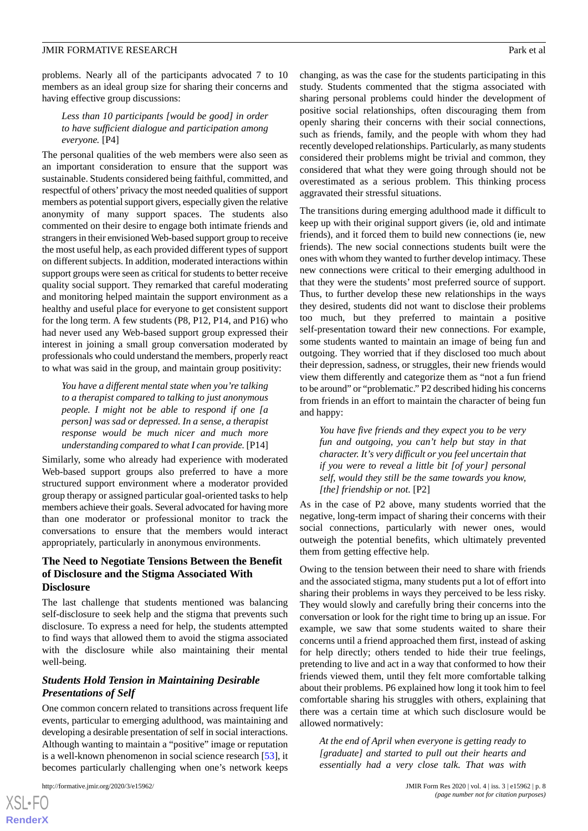#### *Less than 10 participants [would be good] in order to have sufficient dialogue and participation among everyone.* [P4]

The personal qualities of the web members were also seen as an important consideration to ensure that the support was sustainable. Students considered being faithful, committed, and respectful of others'privacy the most needed qualities of support members as potential support givers, especially given the relative anonymity of many support spaces. The students also commented on their desire to engage both intimate friends and strangers in their envisioned Web-based support group to receive the most useful help, as each provided different types of support on different subjects. In addition, moderated interactions within support groups were seen as critical for students to better receive quality social support. They remarked that careful moderating and monitoring helped maintain the support environment as a healthy and useful place for everyone to get consistent support for the long term. A few students (P8, P12, P14, and P16) who had never used any Web-based support group expressed their interest in joining a small group conversation moderated by professionals who could understand the members, properly react to what was said in the group, and maintain group positivity:

*You have a different mental state when you're talking to a therapist compared to talking to just anonymous people. I might not be able to respond if one [a person] was sad or depressed. In a sense, a therapist response would be much nicer and much more understanding compared to what I can provide.* [P14]

Similarly, some who already had experience with moderated Web-based support groups also preferred to have a more structured support environment where a moderator provided group therapy or assigned particular goal-oriented tasks to help members achieve their goals. Several advocated for having more than one moderator or professional monitor to track the conversations to ensure that the members would interact appropriately, particularly in anonymous environments.

## **The Need to Negotiate Tensions Between the Benefit of Disclosure and the Stigma Associated With Disclosure**

The last challenge that students mentioned was balancing self-disclosure to seek help and the stigma that prevents such disclosure. To express a need for help, the students attempted to find ways that allowed them to avoid the stigma associated with the disclosure while also maintaining their mental well-being.

## *Students Hold Tension in Maintaining Desirable Presentations of Self*

One common concern related to transitions across frequent life events, particular to emerging adulthood, was maintaining and developing a desirable presentation of self in social interactions. Although wanting to maintain a "positive" image or reputation is a well-known phenomenon in social science research [[53\]](#page-14-7), it becomes particularly challenging when one's network keeps

changing, as was the case for the students participating in this study. Students commented that the stigma associated with sharing personal problems could hinder the development of positive social relationships, often discouraging them from openly sharing their concerns with their social connections, such as friends, family, and the people with whom they had recently developed relationships. Particularly, as many students considered their problems might be trivial and common, they considered that what they were going through should not be overestimated as a serious problem. This thinking process aggravated their stressful situations.

The transitions during emerging adulthood made it difficult to keep up with their original support givers (ie, old and intimate friends), and it forced them to build new connections (ie, new friends). The new social connections students built were the ones with whom they wanted to further develop intimacy. These new connections were critical to their emerging adulthood in that they were the students' most preferred source of support. Thus, to further develop these new relationships in the ways they desired, students did not want to disclose their problems too much, but they preferred to maintain a positive self-presentation toward their new connections. For example, some students wanted to maintain an image of being fun and outgoing. They worried that if they disclosed too much about their depression, sadness, or struggles, their new friends would view them differently and categorize them as "not a fun friend to be around" or "problematic." P2 described hiding his concerns from friends in an effort to maintain the character of being fun and happy:

*You have five friends and they expect you to be very fun and outgoing, you can't help but stay in that character. It's very difficult or you feel uncertain that if you were to reveal a little bit [of your] personal self, would they still be the same towards you know, [the] friendship or not.* [P2]

As in the case of P2 above, many students worried that the negative, long-term impact of sharing their concerns with their social connections, particularly with newer ones, would outweigh the potential benefits, which ultimately prevented them from getting effective help.

Owing to the tension between their need to share with friends and the associated stigma, many students put a lot of effort into sharing their problems in ways they perceived to be less risky. They would slowly and carefully bring their concerns into the conversation or look for the right time to bring up an issue. For example, we saw that some students waited to share their concerns until a friend approached them first, instead of asking for help directly; others tended to hide their true feelings, pretending to live and act in a way that conformed to how their friends viewed them, until they felt more comfortable talking about their problems. P6 explained how long it took him to feel comfortable sharing his struggles with others, explaining that there was a certain time at which such disclosure would be allowed normatively:

*At the end of April when everyone is getting ready to [graduate] and started to pull out their hearts and essentially had a very close talk. That was with*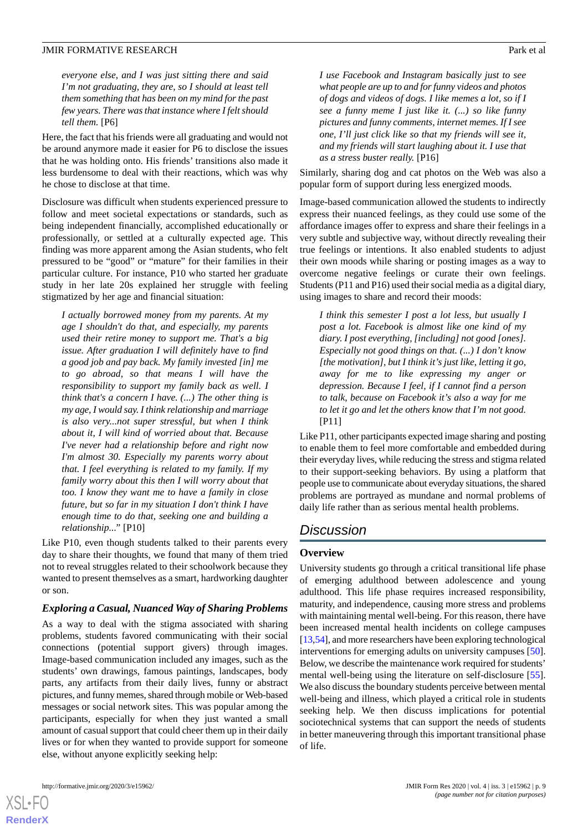*everyone else, and I was just sitting there and said I'm not graduating, they are, so I should at least tell them something that has been on my mind for the past few years. There was that instance where I felt should tell them.* [P6]

Here, the fact that his friends were all graduating and would not be around anymore made it easier for P6 to disclose the issues that he was holding onto. His friends' transitions also made it less burdensome to deal with their reactions, which was why he chose to disclose at that time.

Disclosure was difficult when students experienced pressure to follow and meet societal expectations or standards, such as being independent financially, accomplished educationally or professionally, or settled at a culturally expected age. This finding was more apparent among the Asian students, who felt pressured to be "good" or "mature" for their families in their particular culture. For instance, P10 who started her graduate study in her late 20s explained her struggle with feeling stigmatized by her age and financial situation:

*I actually borrowed money from my parents. At my age I shouldn't do that, and especially, my parents used their retire money to support me. That's a big issue. After graduation I will definitely have to find a good job and pay back. My family invested [in] me to go abroad, so that means I will have the responsibility to support my family back as well. I think that's a concern I have. (...) The other thing is my age, I would say. I think relationship and marriage is also very...not super stressful, but when I think about it, I will kind of worried about that. Because I've never had a relationship before and right now I'm almost 30. Especially my parents worry about that. I feel everything is related to my family. If my family worry about this then I will worry about that too. I know they want me to have a family in close future, but so far in my situation I don't think I have enough time to do that, seeking one and building a relationship..."* [P10]

Like P10, even though students talked to their parents every day to share their thoughts, we found that many of them tried not to reveal struggles related to their schoolwork because they wanted to present themselves as a smart, hardworking daughter or son.

#### *Exploring a Casual, Nuanced Way of Sharing Problems*

As a way to deal with the stigma associated with sharing problems, students favored communicating with their social connections (potential support givers) through images. Image-based communication included any images, such as the students' own drawings, famous paintings, landscapes, body parts, any artifacts from their daily lives, funny or abstract pictures, and funny memes, shared through mobile or Web-based messages or social network sites. This was popular among the participants, especially for when they just wanted a small amount of casual support that could cheer them up in their daily lives or for when they wanted to provide support for someone else, without anyone explicitly seeking help:

*I use Facebook and Instagram basically just to see what people are up to and for funny videos and photos of dogs and videos of dogs. I like memes a lot, so if I see a funny meme I just like it. (...) so like funny pictures and funny comments, internet memes. If I see one, I'll just click like so that my friends will see it, and my friends will start laughing about it. I use that as a stress buster really.* [P16]

Similarly, sharing dog and cat photos on the Web was also a popular form of support during less energized moods.

Image-based communication allowed the students to indirectly express their nuanced feelings, as they could use some of the affordance images offer to express and share their feelings in a very subtle and subjective way, without directly revealing their true feelings or intentions. It also enabled students to adjust their own moods while sharing or posting images as a way to overcome negative feelings or curate their own feelings. Students (P11 and P16) used their social media as a digital diary, using images to share and record their moods:

*I think this semester I post a lot less, but usually I post a lot. Facebook is almost like one kind of my diary. I post everything, [including] not good [ones]. Especially not good things on that. (...) I don't know [the motivation], but I think it's just like, letting it go, away for me to like expressing my anger or depression. Because I feel, if I cannot find a person to talk, because on Facebook it's also a way for me to let it go and let the others know that I'm not good.* [P11]

Like P11, other participants expected image sharing and posting to enable them to feel more comfortable and embedded during their everyday lives, while reducing the stress and stigma related to their support-seeking behaviors. By using a platform that people use to communicate about everyday situations, the shared problems are portrayed as mundane and normal problems of daily life rather than as serious mental health problems.

## *Discussion*

#### **Overview**

University students go through a critical transitional life phase of emerging adulthood between adolescence and young adulthood. This life phase requires increased responsibility, maturity, and independence, causing more stress and problems with maintaining mental well-being. For this reason, there have been increased mental health incidents on college campuses [[13,](#page-12-12)[54\]](#page-14-8), and more researchers have been exploring technological interventions for emerging adults on university campuses [[50\]](#page-14-4). Below, we describe the maintenance work required for students' mental well-being using the literature on self-disclosure [[55\]](#page-14-9). We also discuss the boundary students perceive between mental well-being and illness, which played a critical role in students seeking help. We then discuss implications for potential sociotechnical systems that can support the needs of students in better maneuvering through this important transitional phase of life.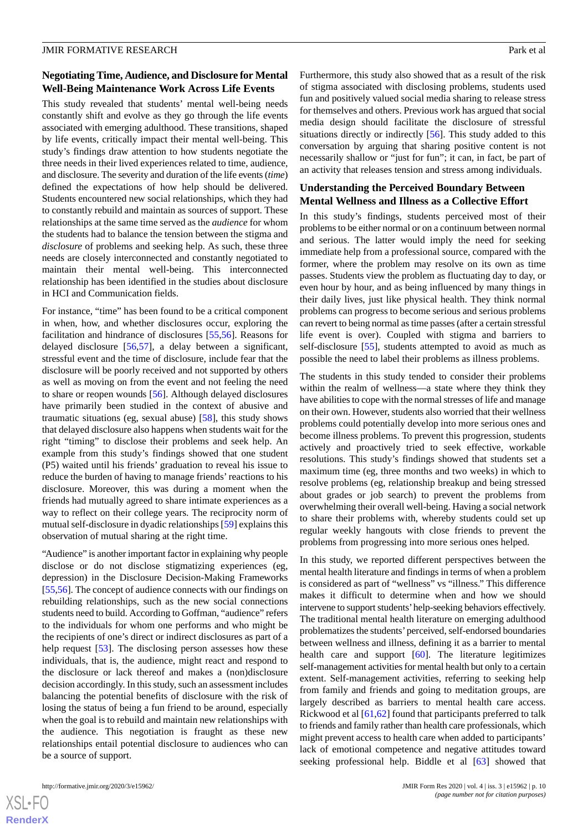## **Negotiating Time, Audience, and Disclosure for Mental Well-Being Maintenance Work Across Life Events**

This study revealed that students' mental well-being needs constantly shift and evolve as they go through the life events associated with emerging adulthood. These transitions, shaped by life events, critically impact their mental well-being. This study's findings draw attention to how students negotiate the three needs in their lived experiences related to time, audience, and disclosure. The severity and duration of the life events (*time*) defined the expectations of how help should be delivered. Students encountered new social relationships, which they had to constantly rebuild and maintain as sources of support. These relationships at the same time served as the *audience* for whom the students had to balance the tension between the stigma and *disclosure* of problems and seeking help. As such, these three needs are closely interconnected and constantly negotiated to maintain their mental well-being. This interconnected relationship has been identified in the studies about disclosure in HCI and Communication fields.

For instance, "time" has been found to be a critical component in when, how, and whether disclosures occur, exploring the facilitation and hindrance of disclosures [[55](#page-14-9)[,56](#page-14-10)]. Reasons for delayed disclosure [\[56](#page-14-10),[57\]](#page-14-11), a delay between a significant, stressful event and the time of disclosure, include fear that the disclosure will be poorly received and not supported by others as well as moving on from the event and not feeling the need to share or reopen wounds [\[56](#page-14-10)]. Although delayed disclosures have primarily been studied in the context of abusive and traumatic situations (eg, sexual abuse) [[58\]](#page-14-12), this study shows that delayed disclosure also happens when students wait for the right "timing" to disclose their problems and seek help. An example from this study's findings showed that one student (P5) waited until his friends' graduation to reveal his issue to reduce the burden of having to manage friends' reactions to his disclosure. Moreover, this was during a moment when the friends had mutually agreed to share intimate experiences as a way to reflect on their college years. The reciprocity norm of mutual self-disclosure in dyadic relationships [[59\]](#page-14-13) explains this observation of mutual sharing at the right time.

"Audience" is another important factor in explaining why people disclose or do not disclose stigmatizing experiences (eg, depression) in the Disclosure Decision-Making Frameworks [[55](#page-14-9)[,56](#page-14-10)]. The concept of audience connects with our findings on rebuilding relationships, such as the new social connections students need to build. According to Goffman, "audience" refers to the individuals for whom one performs and who might be the recipients of one's direct or indirect disclosures as part of a help request [[53\]](#page-14-7). The disclosing person assesses how these individuals, that is, the audience, might react and respond to the disclosure or lack thereof and makes a (non)disclosure decision accordingly. In this study, such an assessment includes balancing the potential benefits of disclosure with the risk of losing the status of being a fun friend to be around, especially when the goal is to rebuild and maintain new relationships with the audience. This negotiation is fraught as these new relationships entail potential disclosure to audiences who can be a source of support.

 $XS$ -FO **[RenderX](http://www.renderx.com/)** Furthermore, this study also showed that as a result of the risk of stigma associated with disclosing problems, students used fun and positively valued social media sharing to release stress for themselves and others. Previous work has argued that social media design should facilitate the disclosure of stressful situations directly or indirectly [\[56](#page-14-10)]. This study added to this conversation by arguing that sharing positive content is not necessarily shallow or "just for fun"; it can, in fact, be part of an activity that releases tension and stress among individuals.

#### **Understanding the Perceived Boundary Between Mental Wellness and Illness as a Collective Effort**

In this study's findings, students perceived most of their problems to be either normal or on a continuum between normal and serious. The latter would imply the need for seeking immediate help from a professional source, compared with the former, where the problem may resolve on its own as time passes. Students view the problem as fluctuating day to day, or even hour by hour, and as being influenced by many things in their daily lives, just like physical health. They think normal problems can progress to become serious and serious problems can revert to being normal as time passes (after a certain stressful life event is over). Coupled with stigma and barriers to self-disclosure [\[55](#page-14-9)], students attempted to avoid as much as possible the need to label their problems as illness problems.

The students in this study tended to consider their problems within the realm of wellness—a state where they think they have abilities to cope with the normal stresses of life and manage on their own. However, students also worried that their wellness problems could potentially develop into more serious ones and become illness problems. To prevent this progression, students actively and proactively tried to seek effective, workable resolutions. This study's findings showed that students set a maximum time (eg, three months and two weeks) in which to resolve problems (eg, relationship breakup and being stressed about grades or job search) to prevent the problems from overwhelming their overall well-being. Having a social network to share their problems with, whereby students could set up regular weekly hangouts with close friends to prevent the problems from progressing into more serious ones helped.

In this study, we reported different perspectives between the mental health literature and findings in terms of when a problem is considered as part of "wellness" vs "illness." This difference makes it difficult to determine when and how we should intervene to support students'help-seeking behaviors effectively. The traditional mental health literature on emerging adulthood problematizes the students'perceived, self-endorsed boundaries between wellness and illness, defining it as a barrier to mental health care and support [\[60](#page-14-14)]. The literature legitimizes self-management activities for mental health but only to a certain extent. Self-management activities, referring to seeking help from family and friends and going to meditation groups, are largely described as barriers to mental health care access. Rickwood et al [\[61](#page-14-15),[62\]](#page-14-16) found that participants preferred to talk to friends and family rather than health care professionals, which might prevent access to health care when added to participants' lack of emotional competence and negative attitudes toward seeking professional help. Biddle et al [\[63](#page-14-17)] showed that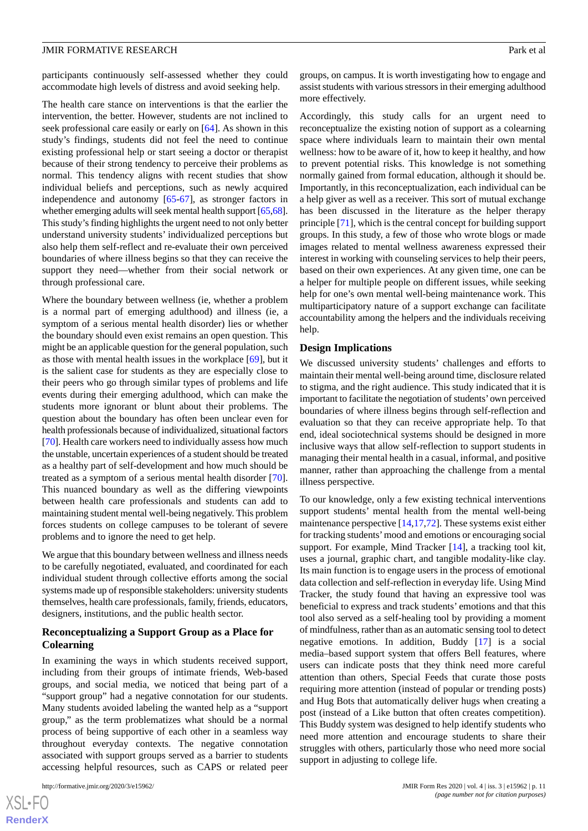participants continuously self-assessed whether they could accommodate high levels of distress and avoid seeking help.

The health care stance on interventions is that the earlier the intervention, the better. However, students are not inclined to seek professional care easily or early on [\[64](#page-14-18)]. As shown in this study's findings, students did not feel the need to continue existing professional help or start seeing a doctor or therapist because of their strong tendency to perceive their problems as normal. This tendency aligns with recent studies that show individual beliefs and perceptions, such as newly acquired independence and autonomy [[65-](#page-14-19)[67\]](#page-14-20), as stronger factors in whether emerging adults will seek mental health support [\[65](#page-14-19)[,68\]](#page-14-21). This study's finding highlights the urgent need to not only better understand university students' individualized perceptions but also help them self-reflect and re-evaluate their own perceived boundaries of where illness begins so that they can receive the support they need—whether from their social network or through professional care.

Where the boundary between wellness (ie, whether a problem is a normal part of emerging adulthood) and illness (ie, a symptom of a serious mental health disorder) lies or whether the boundary should even exist remains an open question. This might be an applicable question for the general population, such as those with mental health issues in the workplace [[69\]](#page-14-22), but it is the salient case for students as they are especially close to their peers who go through similar types of problems and life events during their emerging adulthood, which can make the students more ignorant or blunt about their problems. The question about the boundary has often been unclear even for health professionals because of individualized, situational factors [[70\]](#page-14-23). Health care workers need to individually assess how much the unstable, uncertain experiences of a student should be treated as a healthy part of self-development and how much should be treated as a symptom of a serious mental health disorder [[70\]](#page-14-23). This nuanced boundary as well as the differing viewpoints between health care professionals and students can add to maintaining student mental well-being negatively. This problem forces students on college campuses to be tolerant of severe problems and to ignore the need to get help.

We argue that this boundary between wellness and illness needs to be carefully negotiated, evaluated, and coordinated for each individual student through collective efforts among the social systems made up of responsible stakeholders: university students themselves, health care professionals, family, friends, educators, designers, institutions, and the public health sector.

#### **Reconceptualizing a Support Group as a Place for Colearning**

In examining the ways in which students received support, including from their groups of intimate friends, Web-based groups, and social media, we noticed that being part of a "support group" had a negative connotation for our students. Many students avoided labeling the wanted help as a "support group," as the term problematizes what should be a normal process of being supportive of each other in a seamless way throughout everyday contexts. The negative connotation associated with support groups served as a barrier to students accessing helpful resources, such as CAPS or related peer

groups, on campus. It is worth investigating how to engage and assist students with various stressors in their emerging adulthood more effectively.

Accordingly, this study calls for an urgent need to reconceptualize the existing notion of support as a colearning space where individuals learn to maintain their own mental wellness: how to be aware of it, how to keep it healthy, and how to prevent potential risks. This knowledge is not something normally gained from formal education, although it should be. Importantly, in this reconceptualization, each individual can be a help giver as well as a receiver. This sort of mutual exchange has been discussed in the literature as the helper therapy principle [\[71](#page-14-24)], which is the central concept for building support groups. In this study, a few of those who wrote blogs or made images related to mental wellness awareness expressed their interest in working with counseling services to help their peers, based on their own experiences. At any given time, one can be a helper for multiple people on different issues, while seeking help for one's own mental well-being maintenance work. This multiparticipatory nature of a support exchange can facilitate accountability among the helpers and the individuals receiving help.

#### **Design Implications**

We discussed university students' challenges and efforts to maintain their mental well-being around time, disclosure related to stigma, and the right audience. This study indicated that it is important to facilitate the negotiation of students'own perceived boundaries of where illness begins through self-reflection and evaluation so that they can receive appropriate help. To that end, ideal sociotechnical systems should be designed in more inclusive ways that allow self-reflection to support students in managing their mental health in a casual, informal, and positive manner, rather than approaching the challenge from a mental illness perspective.

To our knowledge, only a few existing technical interventions support students' mental health from the mental well-being maintenance perspective [[14,](#page-12-18)[17](#page-12-13),[72\]](#page-14-25). These systems exist either for tracking students'mood and emotions or encouraging social support. For example, Mind Tracker [\[14](#page-12-18)], a tracking tool kit, uses a journal, graphic chart, and tangible modality-like clay. Its main function is to engage users in the process of emotional data collection and self-reflection in everyday life. Using Mind Tracker, the study found that having an expressive tool was beneficial to express and track students' emotions and that this tool also served as a self-healing tool by providing a moment of mindfulness, rather than as an automatic sensing tool to detect negative emotions. In addition, Buddy [\[17](#page-12-13)] is a social media–based support system that offers Bell features, where users can indicate posts that they think need more careful attention than others, Special Feeds that curate those posts requiring more attention (instead of popular or trending posts) and Hug Bots that automatically deliver hugs when creating a post (instead of a Like button that often creates competition). This Buddy system was designed to help identify students who need more attention and encourage students to share their struggles with others, particularly those who need more social support in adjusting to college life.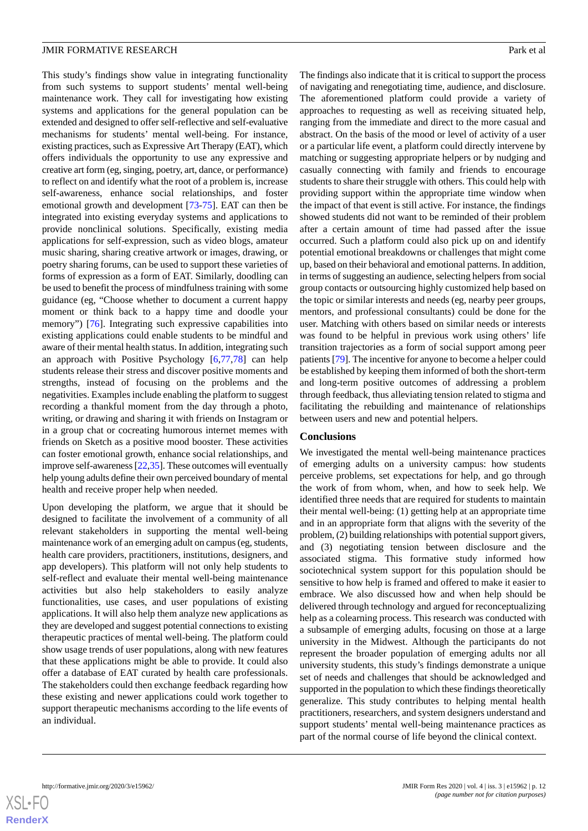This study's findings show value in integrating functionality from such systems to support students' mental well-being maintenance work. They call for investigating how existing systems and applications for the general population can be extended and designed to offer self-reflective and self-evaluative mechanisms for students' mental well-being. For instance, existing practices, such as Expressive Art Therapy (EAT), which offers individuals the opportunity to use any expressive and creative art form (eg, singing, poetry, art, dance, or performance) to reflect on and identify what the root of a problem is, increase self-awareness, enhance social relationships, and foster emotional growth and development [[73-](#page-14-26)[75\]](#page-15-0). EAT can then be integrated into existing everyday systems and applications to provide nonclinical solutions. Specifically, existing media applications for self-expression, such as video blogs, amateur music sharing, sharing creative artwork or images, drawing, or poetry sharing forums, can be used to support these varieties of forms of expression as a form of EAT. Similarly, doodling can be used to benefit the process of mindfulness training with some guidance (eg, "Choose whether to document a current happy moment or think back to a happy time and doodle your memory") [[76\]](#page-15-1). Integrating such expressive capabilities into existing applications could enable students to be mindful and aware of their mental health status. In addition, integrating such an approach with Positive Psychology [\[6](#page-12-5),[77,](#page-15-2)[78](#page-15-3)] can help students release their stress and discover positive moments and strengths, instead of focusing on the problems and the negativities. Examples include enabling the platform to suggest recording a thankful moment from the day through a photo, writing, or drawing and sharing it with friends on Instagram or in a group chat or cocreating humorous internet memes with friends on Sketch as a positive mood booster. These activities can foster emotional growth, enhance social relationships, and improve self-awareness [[22](#page-13-1),[35\]](#page-13-12). These outcomes will eventually help young adults define their own perceived boundary of mental health and receive proper help when needed.

Upon developing the platform, we argue that it should be designed to facilitate the involvement of a community of all relevant stakeholders in supporting the mental well-being maintenance work of an emerging adult on campus (eg, students, health care providers, practitioners, institutions, designers, and app developers). This platform will not only help students to self-reflect and evaluate their mental well-being maintenance activities but also help stakeholders to easily analyze functionalities, use cases, and user populations of existing applications. It will also help them analyze new applications as they are developed and suggest potential connections to existing therapeutic practices of mental well-being. The platform could show usage trends of user populations, along with new features that these applications might be able to provide. It could also offer a database of EAT curated by health care professionals. The stakeholders could then exchange feedback regarding how these existing and newer applications could work together to support therapeutic mechanisms according to the life events of an individual.

The findings also indicate that it is critical to support the process of navigating and renegotiating time, audience, and disclosure. The aforementioned platform could provide a variety of approaches to requesting as well as receiving situated help, ranging from the immediate and direct to the more casual and abstract. On the basis of the mood or level of activity of a user or a particular life event, a platform could directly intervene by matching or suggesting appropriate helpers or by nudging and casually connecting with family and friends to encourage students to share their struggle with others. This could help with providing support within the appropriate time window when the impact of that event is still active. For instance, the findings showed students did not want to be reminded of their problem after a certain amount of time had passed after the issue occurred. Such a platform could also pick up on and identify potential emotional breakdowns or challenges that might come up, based on their behavioral and emotional patterns. In addition, in terms of suggesting an audience, selecting helpers from social group contacts or outsourcing highly customized help based on the topic or similar interests and needs (eg, nearby peer groups, mentors, and professional consultants) could be done for the user. Matching with others based on similar needs or interests was found to be helpful in previous work using others' life transition trajectories as a form of social support among peer patients [[79](#page-15-4)]. The incentive for anyone to become a helper could be established by keeping them informed of both the short-term and long-term positive outcomes of addressing a problem through feedback, thus alleviating tension related to stigma and facilitating the rebuilding and maintenance of relationships between users and new and potential helpers.

#### **Conclusions**

We investigated the mental well-being maintenance practices of emerging adults on a university campus: how students perceive problems, set expectations for help, and go through the work of from whom, when, and how to seek help. We identified three needs that are required for students to maintain their mental well-being: (1) getting help at an appropriate time and in an appropriate form that aligns with the severity of the problem, (2) building relationships with potential support givers, and (3) negotiating tension between disclosure and the associated stigma. This formative study informed how sociotechnical system support for this population should be sensitive to how help is framed and offered to make it easier to embrace. We also discussed how and when help should be delivered through technology and argued for reconceptualizing help as a colearning process. This research was conducted with a subsample of emerging adults, focusing on those at a large university in the Midwest. Although the participants do not represent the broader population of emerging adults nor all university students, this study's findings demonstrate a unique set of needs and challenges that should be acknowledged and supported in the population to which these findings theoretically generalize. This study contributes to helping mental health practitioners, researchers, and system designers understand and support students' mental well-being maintenance practices as part of the normal course of life beyond the clinical context.

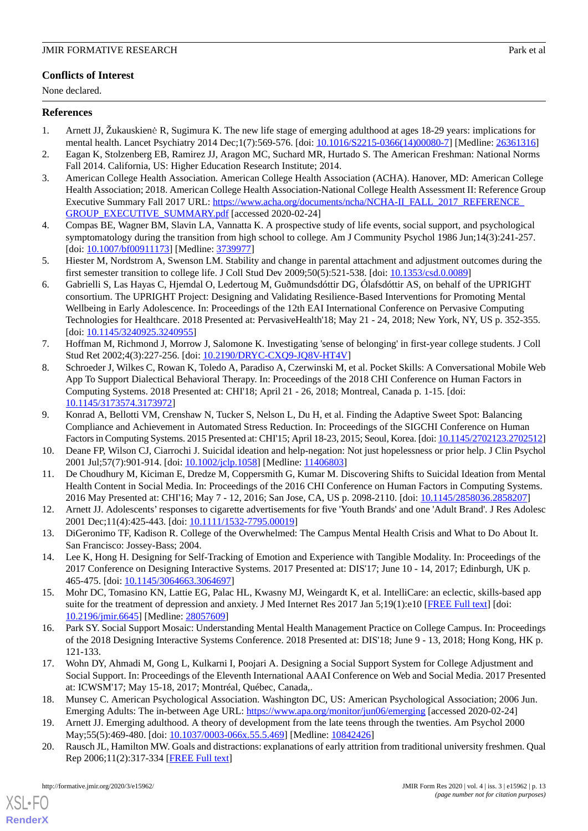## **Conflicts of Interest**

None declared.

## <span id="page-12-0"></span>**References**

- <span id="page-12-1"></span>1. Arnett JJ, Žukauskienė R, Sugimura K. The new life stage of emerging adulthood at ages 18-29 years: implications for mental health. Lancet Psychiatry 2014 Dec;1(7):569-576. [doi: [10.1016/S2215-0366\(14\)00080-7\]](http://dx.doi.org/10.1016/S2215-0366(14)00080-7) [Medline: [26361316\]](http://www.ncbi.nlm.nih.gov/entrez/query.fcgi?cmd=Retrieve&db=PubMed&list_uids=26361316&dopt=Abstract)
- <span id="page-12-2"></span>2. Eagan K, Stolzenberg EB, Ramirez JJ, Aragon MC, Suchard MR, Hurtado S. The American Freshman: National Norms Fall 2014. California, US: Higher Education Research Institute; 2014.
- 3. American College Health Association. American College Health Association (ACHA). Hanover, MD: American College Health Association; 2018. American College Health Association-National College Health Assessment II: Reference Group Executive Summary Fall 2017 URL: https://www.acha.org/documents/ncha/NCHA-II\_FALL\_2017\_REFERENCE [GROUP\\_EXECUTIVE\\_SUMMARY.pdf](https://www.acha.org/documents/ncha/NCHA-II_FALL_2017_REFERENCE_GROUP_EXECUTIVE_SUMMARY.pdf) [accessed 2020-02-24]
- <span id="page-12-4"></span><span id="page-12-3"></span>4. Compas BE, Wagner BM, Slavin LA, Vannatta K. A prospective study of life events, social support, and psychological symptomatology during the transition from high school to college. Am J Community Psychol 1986 Jun;14(3):241-257. [doi: [10.1007/bf00911173\]](http://dx.doi.org/10.1007/bf00911173) [Medline: [3739977](http://www.ncbi.nlm.nih.gov/entrez/query.fcgi?cmd=Retrieve&db=PubMed&list_uids=3739977&dopt=Abstract)]
- <span id="page-12-5"></span>5. Hiester M, Nordstrom A, Swenson LM. Stability and change in parental attachment and adjustment outcomes during the first semester transition to college life. J Coll Stud Dev 2009;50(5):521-538. [doi: [10.1353/csd.0.0089\]](http://dx.doi.org/10.1353/csd.0.0089)
- <span id="page-12-6"></span>6. Gabrielli S, Las Hayas C, Hjemdal O, Ledertoug M, Guðmundsdóttir DG, Ólafsdóttir AS, on behalf of the UPRIGHT consortium. The UPRIGHT Project: Designing and Validating Resilience-Based Interventions for Promoting Mental Wellbeing in Early Adolescence. In: Proceedings of the 12th EAI International Conference on Pervasive Computing Technologies for Healthcare. 2018 Presented at: PervasiveHealth'18; May 21 - 24, 2018; New York, NY, US p. 352-355. [doi: [10.1145/3240925.3240955\]](http://dx.doi.org/10.1145/3240925.3240955)
- <span id="page-12-7"></span>7. Hoffman M, Richmond J, Morrow J, Salomone K. Investigating 'sense of belonging' in first-year college students. J Coll Stud Ret 2002;4(3):227-256. [doi: [10.2190/DRYC-CXQ9-JQ8V-HT4V](http://dx.doi.org/10.2190/DRYC-CXQ9-JQ8V-HT4V)]
- <span id="page-12-8"></span>8. Schroeder J, Wilkes C, Rowan K, Toledo A, Paradiso A, Czerwinski M, et al. Pocket Skills: A Conversational Mobile Web App To Support Dialectical Behavioral Therapy. In: Proceedings of the 2018 CHI Conference on Human Factors in Computing Systems. 2018 Presented at: CHI'18; April 21 - 26, 2018; Montreal, Canada p. 1-15. [doi: [10.1145/3173574.3173972](http://dx.doi.org/10.1145/3173574.3173972)]
- <span id="page-12-10"></span><span id="page-12-9"></span>9. Konrad A, Bellotti VM, Crenshaw N, Tucker S, Nelson L, Du H, et al. Finding the Adaptive Sweet Spot: Balancing Compliance and Achievement in Automated Stress Reduction. In: Proceedings of the SIGCHI Conference on Human Factors in Computing Systems. 2015 Presented at: CHI'15; April 18-23, 2015; Seoul, Korea. [doi: [10.1145/2702123.2702512](http://dx.doi.org/10.1145/2702123.2702512)]
- <span id="page-12-11"></span>10. Deane FP, Wilson CJ, Ciarrochi J. Suicidal ideation and help-negation: Not just hopelessness or prior help. J Clin Psychol 2001 Jul;57(7):901-914. [doi: [10.1002/jclp.1058](http://dx.doi.org/10.1002/jclp.1058)] [Medline: [11406803](http://www.ncbi.nlm.nih.gov/entrez/query.fcgi?cmd=Retrieve&db=PubMed&list_uids=11406803&dopt=Abstract)]
- <span id="page-12-12"></span>11. De Choudhury M, Kiciman E, Dredze M, Coppersmith G, Kumar M. Discovering Shifts to Suicidal Ideation from Mental Health Content in Social Media. In: Proceedings of the 2016 CHI Conference on Human Factors in Computing Systems. 2016 May Presented at: CHI'16; May 7 - 12, 2016; San Jose, CA, US p. 2098-2110. [doi: [10.1145/2858036.2858207\]](http://dx.doi.org/10.1145/2858036.2858207)
- <span id="page-12-18"></span>12. Arnett JJ. Adolescents' responses to cigarette advertisements for five 'Youth Brands' and one 'Adult Brand'. J Res Adolesc 2001 Dec;11(4):425-443. [doi: [10.1111/1532-7795.00019](http://dx.doi.org/10.1111/1532-7795.00019)]
- <span id="page-12-17"></span>13. DiGeronimo TF, Kadison R. College of the Overwhelmed: The Campus Mental Health Crisis and What to Do About It. San Francisco: Jossey-Bass; 2004.
- 14. Lee K, Hong H. Designing for Self-Tracking of Emotion and Experience with Tangible Modality. In: Proceedings of the 2017 Conference on Designing Interactive Systems. 2017 Presented at: DIS'17; June 10 - 14, 2017; Edinburgh, UK p. 465-475. [doi: [10.1145/3064663.3064697](http://dx.doi.org/10.1145/3064663.3064697)]
- <span id="page-12-13"></span>15. Mohr DC, Tomasino KN, Lattie EG, Palac HL, Kwasny MJ, Weingardt K, et al. IntelliCare: an eclectic, skills-based app suite for the treatment of depression and anxiety. J Med Internet Res 2017 Jan 5;19(1):e10 [\[FREE Full text\]](https://www.jmir.org/2017/1/e10/) [doi: [10.2196/jmir.6645](http://dx.doi.org/10.2196/jmir.6645)] [Medline: [28057609](http://www.ncbi.nlm.nih.gov/entrez/query.fcgi?cmd=Retrieve&db=PubMed&list_uids=28057609&dopt=Abstract)]
- <span id="page-12-14"></span>16. Park SY. Social Support Mosaic: Understanding Mental Health Management Practice on College Campus. In: Proceedings of the 2018 Designing Interactive Systems Conference. 2018 Presented at: DIS'18; June 9 - 13, 2018; Hong Kong, HK p. 121-133.
- <span id="page-12-16"></span><span id="page-12-15"></span>17. Wohn DY, Ahmadi M, Gong L, Kulkarni I, Poojari A. Designing a Social Support System for College Adjustment and Social Support. In: Proceedings of the Eleventh International AAAI Conference on Web and Social Media. 2017 Presented at: ICWSM'17; May 15-18, 2017; Montréal, Québec, Canada,.
- 18. Munsey C. American Psychological Association. Washington DC, US: American Psychological Association; 2006 Jun. Emerging Adults: The in-between Age URL: <https://www.apa.org/monitor/jun06/emerging> [accessed 2020-02-24]
- 19. Arnett JJ. Emerging adulthood. A theory of development from the late teens through the twenties. Am Psychol 2000 May;55(5):469-480. [doi: [10.1037/0003-066x.55.5.469\]](http://dx.doi.org/10.1037/0003-066x.55.5.469) [Medline: [10842426\]](http://www.ncbi.nlm.nih.gov/entrez/query.fcgi?cmd=Retrieve&db=PubMed&list_uids=10842426&dopt=Abstract)
- 20. Rausch JL, Hamilton MW. Goals and distractions: explanations of early attrition from traditional university freshmen. Qual Rep 2006;11(2):317-334 [[FREE Full text\]](https://pdfs.semanticscholar.org/45aa/442dcd2db9f5ae3562f9fec0c5cd7acfb7cc.pdf?_ga=2.151401337.1730766344.1582527432-1679671381.1567599385)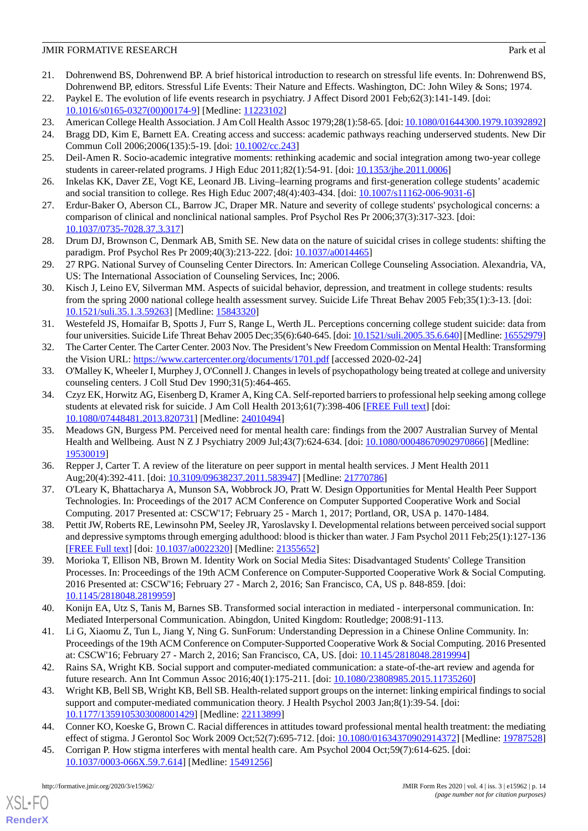- <span id="page-13-0"></span>21. Dohrenwend BS, Dohrenwend BP. A brief historical introduction to research on stressful life events. In: Dohrenwend BS, Dohrenwend BP, editors. Stressful Life Events: Their Nature and Effects. Washington, DC: John Wiley & Sons; 1974.
- <span id="page-13-2"></span><span id="page-13-1"></span>22. Paykel E. The evolution of life events research in psychiatry. J Affect Disord 2001 Feb;62(3):141-149. [doi: [10.1016/s0165-0327\(00\)00174-9](http://dx.doi.org/10.1016/s0165-0327(00)00174-9)] [Medline: [11223102\]](http://www.ncbi.nlm.nih.gov/entrez/query.fcgi?cmd=Retrieve&db=PubMed&list_uids=11223102&dopt=Abstract)
- <span id="page-13-3"></span>23. American College Health Association. J Am Coll Health Assoc 1979;28(1):58-65. [doi: [10.1080/01644300.1979.10392892\]](http://dx.doi.org/10.1080/01644300.1979.10392892)
- 24. Bragg DD, Kim E, Barnett EA. Creating access and success: academic pathways reaching underserved students. New Dir Commun Coll 2006;2006(135):5-19. [doi: [10.1002/cc.243\]](http://dx.doi.org/10.1002/cc.243)
- <span id="page-13-4"></span>25. Deil-Amen R. Socio-academic integrative moments: rethinking academic and social integration among two-year college students in career-related programs. J High Educ 2011;82(1):54-91. [doi: [10.1353/jhe.2011.0006\]](http://dx.doi.org/10.1353/jhe.2011.0006)
- <span id="page-13-5"></span>26. Inkelas KK, Daver ZE, Vogt KE, Leonard JB. Living–learning programs and first-generation college students' academic and social transition to college. Res High Educ 2007;48(4):403-434. [doi: [10.1007/s11162-006-9031-6\]](http://dx.doi.org/10.1007/s11162-006-9031-6)
- <span id="page-13-6"></span>27. Erdur-Baker O, Aberson CL, Barrow JC, Draper MR. Nature and severity of college students' psychological concerns: a comparison of clinical and nonclinical national samples. Prof Psychol Res Pr 2006;37(3):317-323. [doi: [10.1037/0735-7028.37.3.317\]](http://dx.doi.org/10.1037/0735-7028.37.3.317)
- 28. Drum DJ, Brownson C, Denmark AB, Smith SE. New data on the nature of suicidal crises in college students: shifting the paradigm. Prof Psychol Res Pr 2009;40(3):213-222. [doi: [10.1037/a0014465\]](http://dx.doi.org/10.1037/a0014465)
- <span id="page-13-7"></span>29. 27 RPG. National Survey of Counseling Center Directors. In: American College Counseling Association. Alexandria, VA, US: The International Association of Counseling Services, Inc; 2006.
- <span id="page-13-8"></span>30. Kisch J, Leino EV, Silverman MM. Aspects of suicidal behavior, depression, and treatment in college students: results from the spring 2000 national college health assessment survey. Suicide Life Threat Behav 2005 Feb;35(1):3-13. [doi: [10.1521/suli.35.1.3.59263](http://dx.doi.org/10.1521/suli.35.1.3.59263)] [Medline: [15843320](http://www.ncbi.nlm.nih.gov/entrez/query.fcgi?cmd=Retrieve&db=PubMed&list_uids=15843320&dopt=Abstract)]
- <span id="page-13-10"></span><span id="page-13-9"></span>31. Westefeld JS, Homaifar B, Spotts J, Furr S, Range L, Werth JL. Perceptions concerning college student suicide: data from four universities. Suicide Life Threat Behav 2005 Dec;35(6):640-645. [doi: [10.1521/suli.2005.35.6.640\]](http://dx.doi.org/10.1521/suli.2005.35.6.640) [Medline: [16552979](http://www.ncbi.nlm.nih.gov/entrez/query.fcgi?cmd=Retrieve&db=PubMed&list_uids=16552979&dopt=Abstract)]
- <span id="page-13-11"></span>32. The Carter Center. The Carter Center. 2003 Nov. The President's New Freedom Commission on Mental Health: Transforming the Vision URL:<https://www.cartercenter.org/documents/1701.pdf> [accessed 2020-02-24]
- 33. O'Malley K, Wheeler I, Murphey J, O'Connell J. Changes in levels of psychopathology being treated at college and university counseling centers. J Coll Stud Dev 1990;31(5):464-465.
- <span id="page-13-12"></span>34. Czyz EK, Horwitz AG, Eisenberg D, Kramer A, King CA. Self-reported barriers to professional help seeking among college students at elevated risk for suicide. J Am Coll Health 2013;61(7):398-406 [[FREE Full text](http://europepmc.org/abstract/MED/24010494)] [doi: [10.1080/07448481.2013.820731\]](http://dx.doi.org/10.1080/07448481.2013.820731) [Medline: [24010494\]](http://www.ncbi.nlm.nih.gov/entrez/query.fcgi?cmd=Retrieve&db=PubMed&list_uids=24010494&dopt=Abstract)
- <span id="page-13-14"></span><span id="page-13-13"></span>35. Meadows GN, Burgess PM. Perceived need for mental health care: findings from the 2007 Australian Survey of Mental Health and Wellbeing. Aust N Z J Psychiatry 2009 Jul;43(7):624-634. [doi: [10.1080/00048670902970866\]](http://dx.doi.org/10.1080/00048670902970866) [Medline: [19530019](http://www.ncbi.nlm.nih.gov/entrez/query.fcgi?cmd=Retrieve&db=PubMed&list_uids=19530019&dopt=Abstract)]
- <span id="page-13-15"></span>36. Repper J, Carter T. A review of the literature on peer support in mental health services. J Ment Health 2011 Aug;20(4):392-411. [doi: [10.3109/09638237.2011.583947\]](http://dx.doi.org/10.3109/09638237.2011.583947) [Medline: [21770786\]](http://www.ncbi.nlm.nih.gov/entrez/query.fcgi?cmd=Retrieve&db=PubMed&list_uids=21770786&dopt=Abstract)
- <span id="page-13-16"></span>37. O'Leary K, Bhattacharya A, Munson SA, Wobbrock JO, Pratt W. Design Opportunities for Mental Health Peer Support Technologies. In: Proceedings of the 2017 ACM Conference on Computer Supported Cooperative Work and Social Computing. 2017 Presented at: CSCW'17; February 25 - March 1, 2017; Portland, OR, USA p. 1470-1484.
- 38. Pettit JW, Roberts RE, Lewinsohn PM, Seeley JR, Yaroslavsky I. Developmental relations between perceived social support and depressive symptoms through emerging adulthood: blood is thicker than water. J Fam Psychol 2011 Feb;25(1):127-136 [[FREE Full text](http://europepmc.org/abstract/MED/21355652)] [doi: [10.1037/a0022320](http://dx.doi.org/10.1037/a0022320)] [Medline: [21355652\]](http://www.ncbi.nlm.nih.gov/entrez/query.fcgi?cmd=Retrieve&db=PubMed&list_uids=21355652&dopt=Abstract)
- <span id="page-13-18"></span><span id="page-13-17"></span>39. Morioka T, Ellison NB, Brown M. Identity Work on Social Media Sites: Disadvantaged Students' College Transition Processes. In: Proceedings of the 19th ACM Conference on Computer-Supported Cooperative Work & Social Computing. 2016 Presented at: CSCW'16; February 27 - March 2, 2016; San Francisco, CA, US p. 848-859. [doi: [10.1145/2818048.2819959](http://dx.doi.org/10.1145/2818048.2819959)]
- <span id="page-13-19"></span>40. Konijn EA, Utz S, Tanis M, Barnes SB. Transformed social interaction in mediated - interpersonal communication. In: Mediated Interpersonal Communication. Abingdon, United Kingdom: Routledge; 2008:91-113.
- <span id="page-13-20"></span>41. Li G, Xiaomu Z, Tun L, Jiang Y, Ning G. SunForum: Understanding Depression in a Chinese Online Community. In: Proceedings of the 19th ACM Conference on Computer-Supported Cooperative Work & Social Computing. 2016 Presented at: CSCW'16; February 27 - March 2, 2016; San Francisco, CA, US. [doi: [10.1145/2818048.2819994](http://dx.doi.org/10.1145/2818048.2819994)]
- <span id="page-13-22"></span><span id="page-13-21"></span>42. Rains SA, Wright KB. Social support and computer-mediated communication: a state-of-the-art review and agenda for future research. Ann Int Commun Assoc 2016;40(1):175-211. [doi: [10.1080/23808985.2015.11735260](http://dx.doi.org/10.1080/23808985.2015.11735260)]
- 43. Wright KB, Bell SB, Wright KB, Bell SB. Health-related support groups on the internet: linking empirical findings to social support and computer-mediated communication theory. J Health Psychol 2003 Jan;8(1):39-54. [doi: [10.1177/1359105303008001429\]](http://dx.doi.org/10.1177/1359105303008001429) [Medline: [22113899\]](http://www.ncbi.nlm.nih.gov/entrez/query.fcgi?cmd=Retrieve&db=PubMed&list_uids=22113899&dopt=Abstract)
- 44. Conner KO, Koeske G, Brown C. Racial differences in attitudes toward professional mental health treatment: the mediating effect of stigma. J Gerontol Soc Work 2009 Oct;52(7):695-712. [doi: [10.1080/01634370902914372](http://dx.doi.org/10.1080/01634370902914372)] [Medline: [19787528](http://www.ncbi.nlm.nih.gov/entrez/query.fcgi?cmd=Retrieve&db=PubMed&list_uids=19787528&dopt=Abstract)]
- 45. Corrigan P. How stigma interferes with mental health care. Am Psychol 2004 Oct;59(7):614-625. [doi: [10.1037/0003-066X.59.7.614\]](http://dx.doi.org/10.1037/0003-066X.59.7.614) [Medline: [15491256\]](http://www.ncbi.nlm.nih.gov/entrez/query.fcgi?cmd=Retrieve&db=PubMed&list_uids=15491256&dopt=Abstract)

 $XS$  • FO **[RenderX](http://www.renderx.com/)**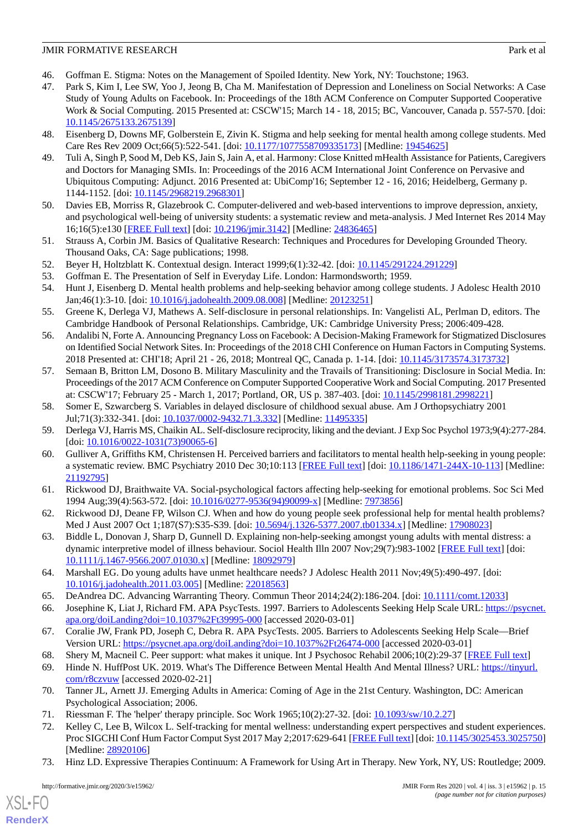- <span id="page-14-1"></span><span id="page-14-0"></span>46. Goffman E. Stigma: Notes on the Management of Spoiled Identity. New York, NY: Touchstone; 1963.
- 47. Park S, Kim I, Lee SW, Yoo J, Jeong B, Cha M. Manifestation of Depression and Loneliness on Social Networks: A Case Study of Young Adults on Facebook. In: Proceedings of the 18th ACM Conference on Computer Supported Cooperative Work & Social Computing. 2015 Presented at: CSCW'15; March 14 - 18, 2015; BC, Vancouver, Canada p. 557-570. [doi: [10.1145/2675133.2675139](http://dx.doi.org/10.1145/2675133.2675139)]
- <span id="page-14-3"></span><span id="page-14-2"></span>48. Eisenberg D, Downs MF, Golberstein E, Zivin K. Stigma and help seeking for mental health among college students. Med Care Res Rev 2009 Oct;66(5):522-541. [doi: [10.1177/1077558709335173\]](http://dx.doi.org/10.1177/1077558709335173) [Medline: [19454625\]](http://www.ncbi.nlm.nih.gov/entrez/query.fcgi?cmd=Retrieve&db=PubMed&list_uids=19454625&dopt=Abstract)
- 49. Tuli A, Singh P, Sood M, Deb KS, Jain S, Jain A, et al. Harmony: Close Knitted mHealth Assistance for Patients, Caregivers and Doctors for Managing SMIs. In: Proceedings of the 2016 ACM International Joint Conference on Pervasive and Ubiquitous Computing: Adjunct. 2016 Presented at: UbiComp'16; September 12 - 16, 2016; Heidelberg, Germany p. 1144-1152. [doi: [10.1145/2968219.2968301](http://dx.doi.org/10.1145/2968219.2968301)]
- <span id="page-14-5"></span><span id="page-14-4"></span>50. Davies EB, Morriss R, Glazebrook C. Computer-delivered and web-based interventions to improve depression, anxiety, and psychological well-being of university students: a systematic review and meta-analysis. J Med Internet Res 2014 May 16;16(5):e130 [\[FREE Full text](https://www.jmir.org/2014/5/e130/)] [doi: [10.2196/jmir.3142](http://dx.doi.org/10.2196/jmir.3142)] [Medline: [24836465](http://www.ncbi.nlm.nih.gov/entrez/query.fcgi?cmd=Retrieve&db=PubMed&list_uids=24836465&dopt=Abstract)]
- <span id="page-14-7"></span><span id="page-14-6"></span>51. Strauss A, Corbin JM. Basics of Qualitative Research: Techniques and Procedures for Developing Grounded Theory. Thousand Oaks, CA: Sage publications; 1998.
- <span id="page-14-8"></span>52. Beyer H, Holtzblatt K. Contextual design. Interact 1999;6(1):32-42. [doi: [10.1145/291224.291229\]](http://dx.doi.org/10.1145/291224.291229)
- <span id="page-14-9"></span>53. Goffman E. The Presentation of Self in Everyday Life. London: Harmondsworth; 1959.
- 54. Hunt J, Eisenberg D. Mental health problems and help-seeking behavior among college students. J Adolesc Health 2010 Jan;46(1):3-10. [doi: [10.1016/j.jadohealth.2009.08.008](http://dx.doi.org/10.1016/j.jadohealth.2009.08.008)] [Medline: [20123251](http://www.ncbi.nlm.nih.gov/entrez/query.fcgi?cmd=Retrieve&db=PubMed&list_uids=20123251&dopt=Abstract)]
- <span id="page-14-10"></span>55. Greene K, Derlega VJ, Mathews A. Self-disclosure in personal relationships. In: Vangelisti AL, Perlman D, editors. The Cambridge Handbook of Personal Relationships. Cambridge, UK: Cambridge University Press; 2006:409-428.
- <span id="page-14-11"></span>56. Andalibi N, Forte A. Announcing Pregnancy Loss on Facebook: A Decision-Making Framework for Stigmatized Disclosures on Identified Social Network Sites. In: Proceedings of the 2018 CHI Conference on Human Factors in Computing Systems. 2018 Presented at: CHI'18; April 21 - 26, 2018; Montreal QC, Canada p. 1-14. [doi: [10.1145/3173574.3173732](http://dx.doi.org/10.1145/3173574.3173732)]
- <span id="page-14-13"></span><span id="page-14-12"></span>57. Semaan B, Britton LM, Dosono B. Military Masculinity and the Travails of Transitioning: Disclosure in Social Media. In: Proceedings of the 2017 ACM Conference on Computer Supported Cooperative Work and Social Computing. 2017 Presented at: CSCW'17; February 25 - March 1, 2017; Portland, OR, US p. 387-403. [doi: [10.1145/2998181.2998221\]](http://dx.doi.org/10.1145/2998181.2998221)
- <span id="page-14-14"></span>58. Somer E, Szwarcberg S. Variables in delayed disclosure of childhood sexual abuse. Am J Orthopsychiatry 2001 Jul;71(3):332-341. [doi: [10.1037/0002-9432.71.3.332](http://dx.doi.org/10.1037/0002-9432.71.3.332)] [Medline: [11495335](http://www.ncbi.nlm.nih.gov/entrez/query.fcgi?cmd=Retrieve&db=PubMed&list_uids=11495335&dopt=Abstract)]
- <span id="page-14-15"></span>59. Derlega VJ, Harris MS, Chaikin AL. Self-disclosure reciprocity, liking and the deviant. J Exp Soc Psychol 1973;9(4):277-284. [doi: [10.1016/0022-1031\(73\)90065-6](http://dx.doi.org/10.1016/0022-1031(73)90065-6)]
- <span id="page-14-16"></span>60. Gulliver A, Griffiths KM, Christensen H. Perceived barriers and facilitators to mental health help-seeking in young people: a systematic review. BMC Psychiatry 2010 Dec 30;10:113 [\[FREE Full text\]](https://bmcpsychiatry.biomedcentral.com/articles/10.1186/1471-244X-10-113) [doi: [10.1186/1471-244X-10-113](http://dx.doi.org/10.1186/1471-244X-10-113)] [Medline: [21192795](http://www.ncbi.nlm.nih.gov/entrez/query.fcgi?cmd=Retrieve&db=PubMed&list_uids=21192795&dopt=Abstract)]
- <span id="page-14-17"></span>61. Rickwood DJ, Braithwaite VA. Social-psychological factors affecting help-seeking for emotional problems. Soc Sci Med 1994 Aug;39(4):563-572. [doi: [10.1016/0277-9536\(94\)90099-x\]](http://dx.doi.org/10.1016/0277-9536(94)90099-x) [Medline: [7973856](http://www.ncbi.nlm.nih.gov/entrez/query.fcgi?cmd=Retrieve&db=PubMed&list_uids=7973856&dopt=Abstract)]
- <span id="page-14-18"></span>62. Rickwood DJ, Deane FP, Wilson CJ. When and how do young people seek professional help for mental health problems? Med J Aust 2007 Oct 1;187(S7):S35-S39. [doi: [10.5694/j.1326-5377.2007.tb01334.x](http://dx.doi.org/10.5694/j.1326-5377.2007.tb01334.x)] [Medline: [17908023](http://www.ncbi.nlm.nih.gov/entrez/query.fcgi?cmd=Retrieve&db=PubMed&list_uids=17908023&dopt=Abstract)]
- <span id="page-14-19"></span>63. Biddle L, Donovan J, Sharp D, Gunnell D. Explaining non-help-seeking amongst young adults with mental distress: a dynamic interpretive model of illness behaviour. Sociol Health Illn 2007 Nov;29(7):983-1002 [[FREE Full text](https://doi.org/10.1111/j.1467-9566.2007.01030.x)] [doi: [10.1111/j.1467-9566.2007.01030.x\]](http://dx.doi.org/10.1111/j.1467-9566.2007.01030.x) [Medline: [18092979\]](http://www.ncbi.nlm.nih.gov/entrez/query.fcgi?cmd=Retrieve&db=PubMed&list_uids=18092979&dopt=Abstract)
- <span id="page-14-20"></span>64. Marshall EG. Do young adults have unmet healthcare needs? J Adolesc Health 2011 Nov;49(5):490-497. [doi: [10.1016/j.jadohealth.2011.03.005](http://dx.doi.org/10.1016/j.jadohealth.2011.03.005)] [Medline: [22018563](http://www.ncbi.nlm.nih.gov/entrez/query.fcgi?cmd=Retrieve&db=PubMed&list_uids=22018563&dopt=Abstract)]
- <span id="page-14-22"></span><span id="page-14-21"></span>65. DeAndrea DC. Advancing Warranting Theory. Commun Theor 2014;24(2):186-204. [doi: [10.1111/comt.12033](http://dx.doi.org/10.1111/comt.12033)]
- 66. Josephine K, Liat J, Richard FM. APA PsycTests. 1997. Barriers to Adolescents Seeking Help Scale URL: [https://psycnet.](https://psycnet.apa.org/doiLanding?doi=10.1037%2Ft39995-000) [apa.org/doiLanding?doi=10.1037%2Ft39995-000](https://psycnet.apa.org/doiLanding?doi=10.1037%2Ft39995-000) [accessed 2020-03-01]
- <span id="page-14-23"></span>67. Coralie JW, Frank PD, Joseph C, Debra R. APA PsycTests. 2005. Barriers to Adolescents Seeking Help Scale—Brief Version URL: <https://psycnet.apa.org/doiLanding?doi=10.1037%2Ft26474-000> [accessed 2020-03-01]
- <span id="page-14-25"></span><span id="page-14-24"></span>68. Shery M, Macneil C. Peer support: what makes it unique. Int J Psychosoc Rehabil 2006;10(2):29-37 [[FREE Full text](https://www.researchgate.net/publication/228693717_Peer_Support_What_Makes_It_Unique)]
- 69. Hinde N. HuffPost UK. 2019. What's The Difference Between Mental Health And Mental Illness? URL: [https://tinyurl.](https://tinyurl.com/r8czvuw) [com/r8czvuw](https://tinyurl.com/r8czvuw) [accessed 2020-02-21]
- <span id="page-14-26"></span>70. Tanner JL, Arnett JJ. Emerging Adults in America: Coming of Age in the 21st Century. Washington, DC: American Psychological Association; 2006.
- 71. Riessman F. The 'helper' therapy principle. Soc Work 1965;10(2):27-32. [doi: [10.1093/sw/10.2.27\]](http://dx.doi.org/10.1093/sw/10.2.27)
- 72. Kelley C, Lee B, Wilcox L. Self-tracking for mental wellness: understanding expert perspectives and student experiences. Proc SIGCHI Conf Hum Factor Comput Syst 2017 May 2;2017:629-641 [[FREE Full text\]](http://europepmc.org/abstract/MED/28920106) [doi: [10.1145/3025453.3025750](http://dx.doi.org/10.1145/3025453.3025750)] [Medline: [28920106](http://www.ncbi.nlm.nih.gov/entrez/query.fcgi?cmd=Retrieve&db=PubMed&list_uids=28920106&dopt=Abstract)]
- 73. Hinz LD. Expressive Therapies Continuum: A Framework for Using Art in Therapy. New York, NY, US: Routledge; 2009.